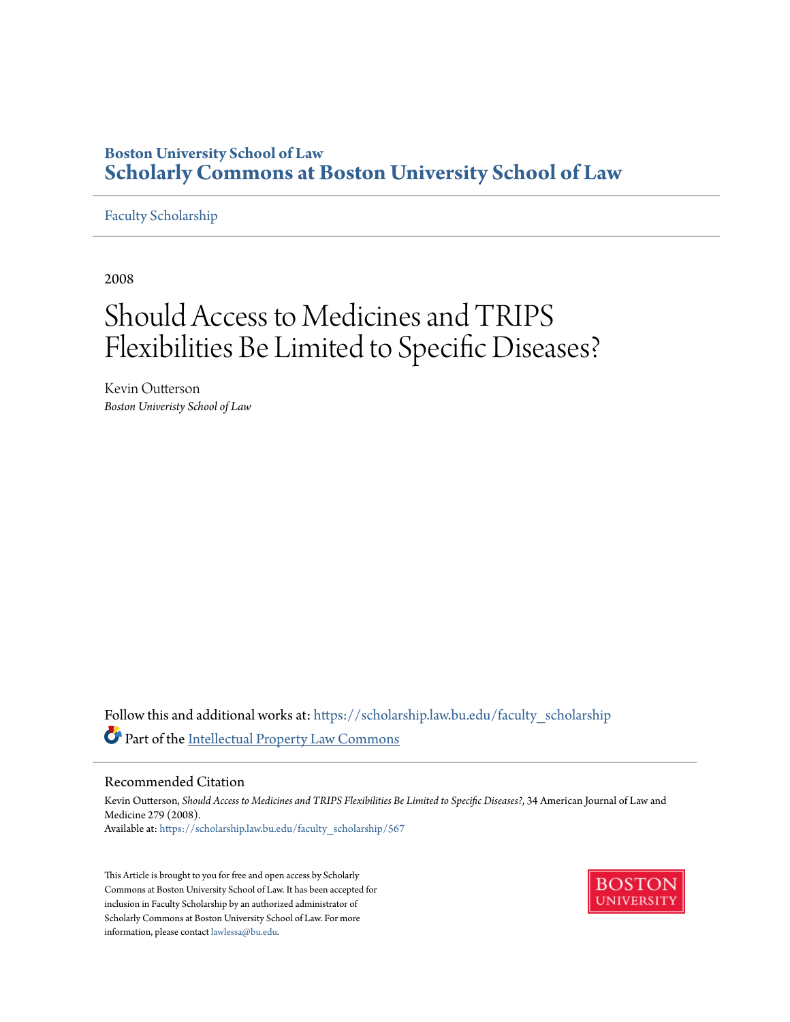### **Boston University School of Law [Scholarly Commons at Boston University School of Law](https://scholarship.law.bu.edu?utm_source=scholarship.law.bu.edu%2Ffaculty_scholarship%2F567&utm_medium=PDF&utm_campaign=PDFCoverPages)**

#### [Faculty Scholarship](https://scholarship.law.bu.edu/faculty_scholarship?utm_source=scholarship.law.bu.edu%2Ffaculty_scholarship%2F567&utm_medium=PDF&utm_campaign=PDFCoverPages)

2008

# Should Access to Medicines and TRIPS Flexibilities Be Limited to Specific Diseases?

Kevin Outterson *Boston Univeristy School of Law*

Follow this and additional works at: [https://scholarship.law.bu.edu/faculty\\_scholarship](https://scholarship.law.bu.edu/faculty_scholarship?utm_source=scholarship.law.bu.edu%2Ffaculty_scholarship%2F567&utm_medium=PDF&utm_campaign=PDFCoverPages) Part of the [Intellectual Property Law Commons](http://network.bepress.com/hgg/discipline/896?utm_source=scholarship.law.bu.edu%2Ffaculty_scholarship%2F567&utm_medium=PDF&utm_campaign=PDFCoverPages)

#### Recommended Citation

Kevin Outterson, *Should Access to Medicines and TRIPS Flexibilities Be Limited to Specific Diseases?*, 34 American Journal of Law and Medicine 279 (2008). Available at: [https://scholarship.law.bu.edu/faculty\\_scholarship/567](https://scholarship.law.bu.edu/faculty_scholarship/567?utm_source=scholarship.law.bu.edu%2Ffaculty_scholarship%2F567&utm_medium=PDF&utm_campaign=PDFCoverPages)

This Article is brought to you for free and open access by Scholarly Commons at Boston University School of Law. It has been accepted for inclusion in Faculty Scholarship by an authorized administrator of Scholarly Commons at Boston University School of Law. For more information, please contact [lawlessa@bu.edu.](mailto:lawlessa@bu.edu)

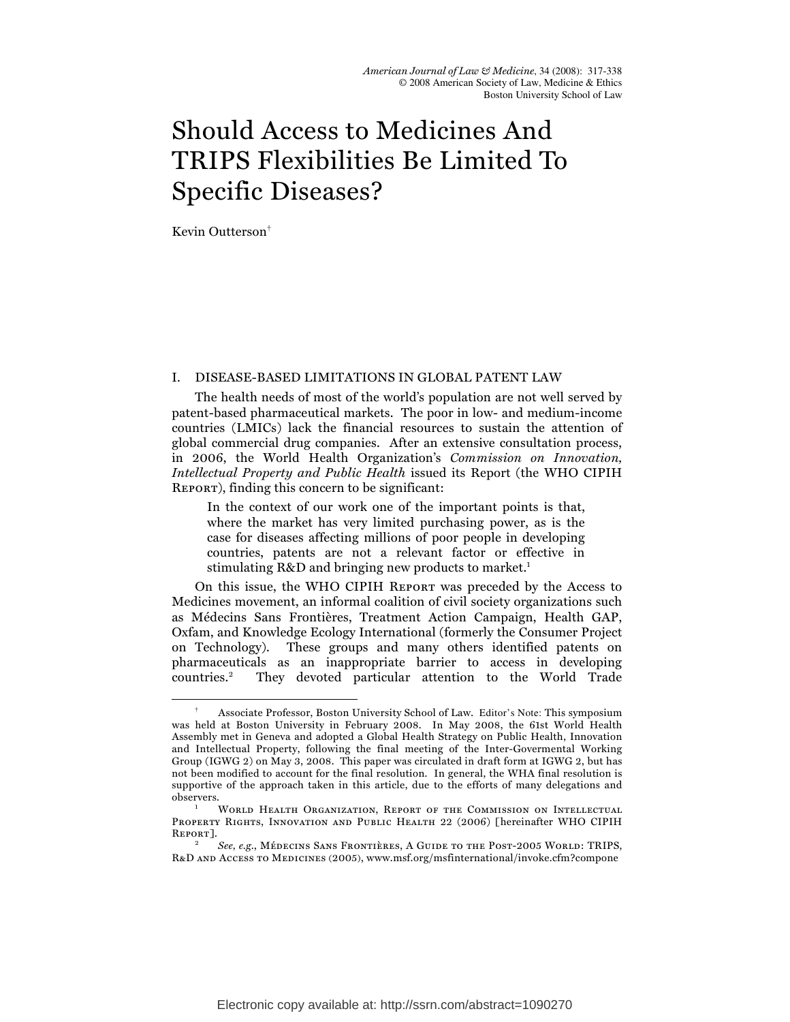American Journal of Law & Medicine, 34 (2008): 317-338 © 2008 American Society of Law, Medicine & Ethics Boston University School of Law

## Should Access to Medicines And TRIPS Flexibilities Be Limited To Specific Diseases?

Kevin Outterson†

 $\overline{a}$ 

#### I. DISEASE-BASED LIMITATIONS IN GLOBAL PATENT LAW

The health needs of most of the world's population are not well served by patent-based pharmaceutical markets. The poor in low- and medium-income countries (LMICs) lack the financial resources to sustain the attention of global commercial drug companies. After an extensive consultation process, in 2006, the World Health Organization's Commission on Innovation, Intellectual Property and Public Health issued its Report (the WHO CIPIH Report), finding this concern to be significant:

In the context of our work one of the important points is that, where the market has very limited purchasing power, as is the case for diseases affecting millions of poor people in developing countries, patents are not a relevant factor or effective in stimulating R&D and bringing new products to market. 1

On this issue, the WHO CIPIH Report was preceded by the Access to Medicines movement, an informal coalition of civil society organizations such as Médecins Sans Frontières, Treatment Action Campaign, Health GAP, Oxfam, and Knowledge Ecology International (formerly the Consumer Project on Technology). These groups and many others identified patents on pharmaceuticals as an inappropriate barrier to access in developing countries.<sup>2</sup> They devoted particular attention to the World Trade

<sup>†</sup> Associate Professor, Boston University School of Law. Editor's Note: This symposium was held at Boston University in February 2008. In May 2008, the 61st World Health Assembly met in Geneva and adopted a Global Health Strategy on Public Health, Innovation and Intellectual Property, following the final meeting of the Inter-Govermental Working Group (IGWG 2) on May 3, 2008. This paper was circulated in draft form at IGWG 2, but has not been modified to account for the final resolution. In general, the WHA final resolution is supportive of the approach taken in this article, due to the efforts of many delegations and observers.

<sup>1</sup> World Health Organization, Report of the Commission on Intellectual Property Rights, Innovation and Public Health 22 (2006) [hereinafter WHO CIPIH Report].

<sup>2</sup> See, e.g., MÉDECINS SANS FRONTIÈRES, A GUIDE TO THE POST-2005 WORLD: TRIPS, R&D and Access to Medicines (2005), www.msf.org/msfinternational/invoke.cfm?compone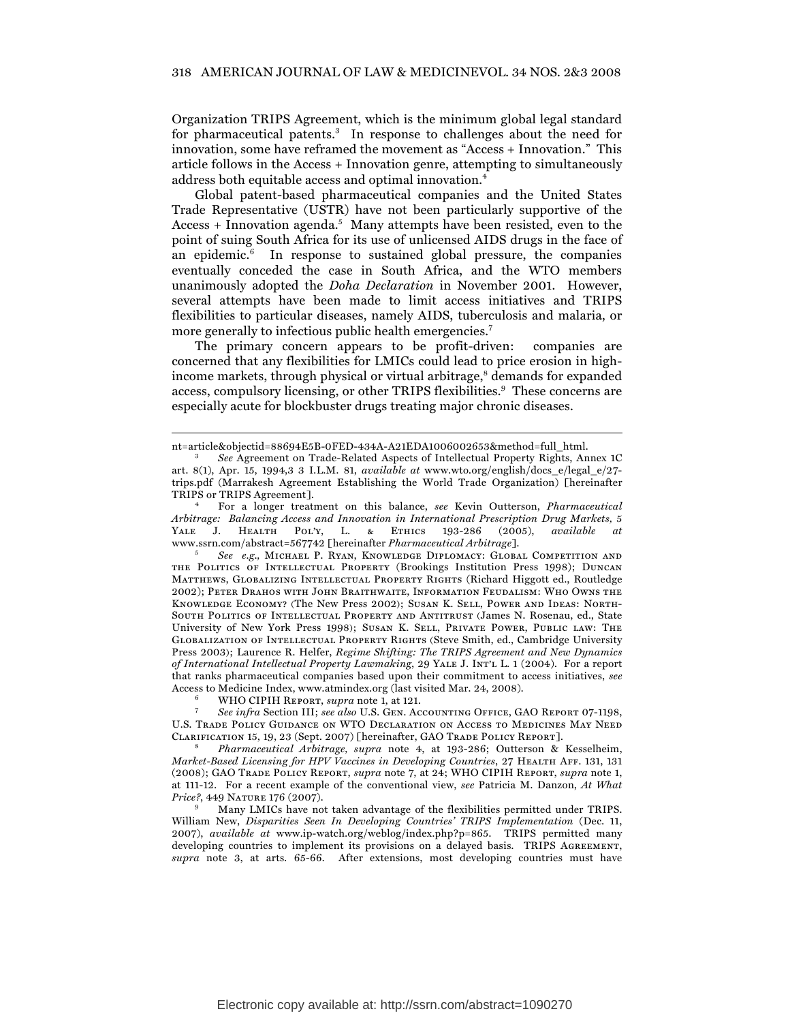Organization TRIPS Agreement, which is the minimum global legal standard for pharmaceutical patents.<sup>3</sup> In response to challenges about the need for innovation, some have reframed the movement as "Access + Innovation." This article follows in the Access + Innovation genre, attempting to simultaneously address both equitable access and optimal innovation.<sup>4</sup>

Global patent-based pharmaceutical companies and the United States Trade Representative (USTR) have not been particularly supportive of the Access + Innovation agenda.<sup>5</sup> Many attempts have been resisted, even to the point of suing South Africa for its use of unlicensed AIDS drugs in the face of an epidemic.<sup>6</sup> In response to sustained global pressure, the companies eventually conceded the case in South Africa, and the WTO members unanimously adopted the Doha Declaration in November 2001. However, several attempts have been made to limit access initiatives and TRIPS flexibilities to particular diseases, namely AIDS, tuberculosis and malaria, or more generally to infectious public health emergencies.<sup>7</sup>

The primary concern appears to be profit-driven: companies are concerned that any flexibilities for LMICs could lead to price erosion in highincome markets, through physical or virtual arbitrage,<sup>8</sup> demands for expanded access, compulsory licensing, or other TRIPS flexibilities.<sup>9</sup> These concerns are especially acute for blockbuster drugs treating major chronic diseases.

4 For a longer treatment on this balance, see Kevin Outterson, *Pharmaceutical* Arbitrage: Balancing Access and Innovation in International Prescription Drug Markets, 5 YALE J. HEALTH POL'Y, L. & ETHICS 193-286 (2005), available www.ssrn.com/abstract=567742 [hereinafter Pharmaceutical Arbitrage].

5 See e.g., Michael P. Ryan, Knowledge Diplomacy: Global Competition and the Politics of Intellectual Property (Brookings Institution Press 1998); Duncan Matthews, Globalizing Intellectual Property Rights (Richard Higgott ed., Routledge 2002); Peter Drahos with John Braithwaite, Information Feudalism: Who Owns the Knowledge Economy? (The New Press 2002); Susan K. Sell, Power and Ideas: North-South Politics of Intellectual Property and Antitrust (James N. Rosenau, ed., State University of New York Press 1998); Susan K. Sell, Private Power, Public law: The Globalization of Intellectual Property Rights (Steve Smith, ed., Cambridge University Press 2003); Laurence R. Helfer, Regime Shifting: The TRIPS Agreement and New Dynamics of International Intellectual Property Lawmaking, 29 Yale J. Int'l L. 1 (2004). For a report that ranks pharmaceutical companies based upon their commitment to access initiatives, see Access to Medicine Index, www.atmindex.org (last visited Mar. 24, 2008).

6 WHO CIPIH REPORT, supra note 1, at 121.

 $\overline{a}$ 

7 See infra Section III; see also U.S. Gen. Accounting Office, GAO Report 07-1198, U.S. Trade Policy Guidance on WTO Declaration on Access to Medicines May Need Clarification 15, 19, 23 (Sept. 2007) [hereinafter, GAO Trade Policy Report].

8 Pharmaceutical Arbitrage, supra note 4, at 193-286; Outterson & Kesselheim, Market-Based Licensing for HPV Vaccines in Developing Countries, 27 HEALTH AFF. 131, 131 (2008); GAO Trade Policy Report, supra note 7, at 24; WHO CIPIH Report, supra note 1, at 111-12. For a recent example of the conventional view, see Patricia M. Danzon, At What Price?, 449 NATURE 176 (2007).

9 Many LMICs have not taken advantage of the flexibilities permitted under TRIPS. William New, Disparities Seen In Developing Countries' TRIPS Implementation (Dec. 11, 2007), available at www.ip-watch.org/weblog/index.php?p=865. TRIPS permitted many developing countries to implement its provisions on a delayed basis. TRIPS Agreement, supra note 3, at arts. 65-66. After extensions, most developing countries must have

nt=article&objectid=88694E5B-0FED-434A-A21EDA1006002653&method=full\_html.

<sup>3</sup> See Agreement on Trade-Related Aspects of Intellectual Property Rights, Annex 1C art. 8(1), Apr. 15, 1994,3 3 I.L.M. 81, *available at* www.wto.org/english/docs\_e/legal\_e/27trips.pdf (Marrakesh Agreement Establishing the World Trade Organization) [hereinafter TRIPS or TRIPS Agreement].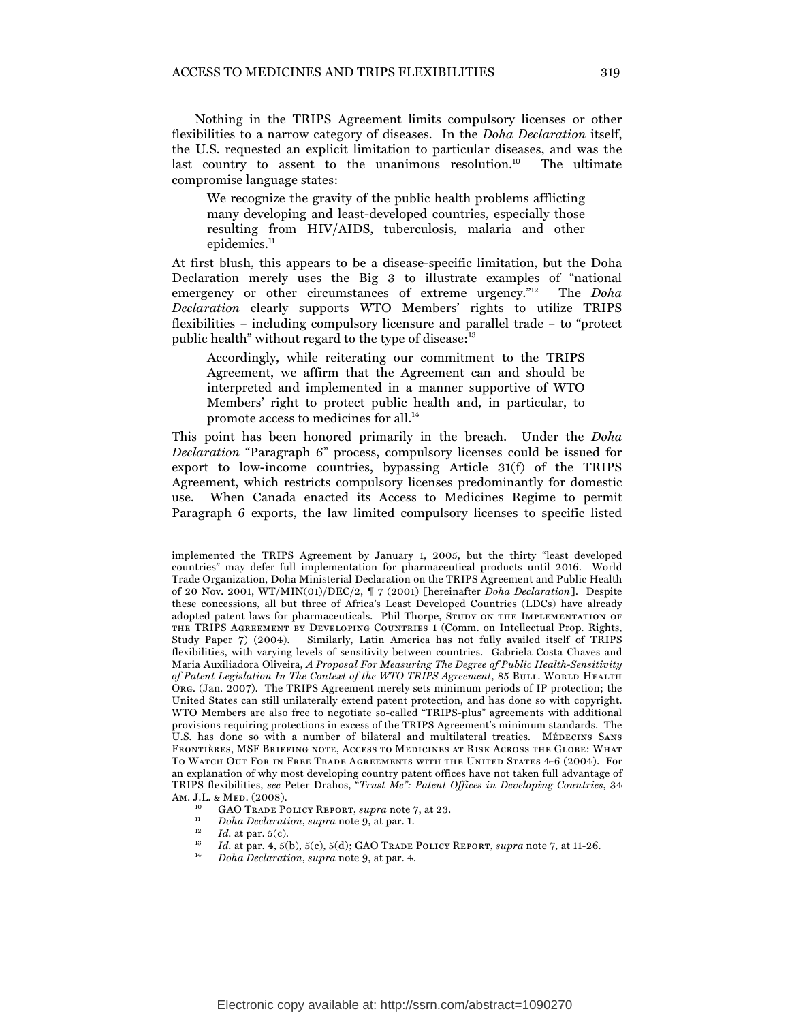Nothing in the TRIPS Agreement limits compulsory licenses or other flexibilities to a narrow category of diseases. In the *Doha Declaration* itself, the U.S. requested an explicit limitation to particular diseases, and was the last country to assent to the unanimous resolution.<sup>10</sup> The ultimate compromise language states:

We recognize the gravity of the public health problems afflicting many developing and least-developed countries, especially those resulting from HIV/AIDS, tuberculosis, malaria and other epidemics.<sup>11</sup>

At first blush, this appears to be a disease-specific limitation, but the Doha Declaration merely uses the Big 3 to illustrate examples of "national emergency or other circumstances of extreme urgency."<sup>12</sup> The Doha Declaration clearly supports WTO Members' rights to utilize TRIPS flexibilities – including compulsory licensure and parallel trade – to "protect public health" without regard to the type of disease:<sup>13</sup>

Accordingly, while reiterating our commitment to the TRIPS Agreement, we affirm that the Agreement can and should be interpreted and implemented in a manner supportive of WTO Members' right to protect public health and, in particular, to promote access to medicines for all.<sup>14</sup>

This point has been honored primarily in the breach. Under the *Doha* Declaration "Paragraph 6" process, compulsory licenses could be issued for export to low-income countries, bypassing Article 31(f) of the TRIPS Agreement, which restricts compulsory licenses predominantly for domestic use. When Canada enacted its Access to Medicines Regime to permit Paragraph 6 exports, the law limited compulsory licenses to specific listed

implemented the TRIPS Agreement by January 1, 2005, but the thirty "least developed countries" may defer full implementation for pharmaceutical products until 2016. World Trade Organization, Doha Ministerial Declaration on the TRIPS Agreement and Public Health of 20 Nov. 2001, WT/MIN(01)/DEC/2, ¶ 7 (2001) [hereinafter Doha Declaration]. Despite these concessions, all but three of Africa's Least Developed Countries (LDCs) have already adopted patent laws for pharmaceuticals. Phil Thorpe, STUDY ON THE IMPLEMENTATION OF the TRIPS Agreement by Developing Countries 1 (Comm. on Intellectual Prop. Rights, Study Paper 7) (2004). Similarly, Latin America has not fully availed itself of TRIPS flexibilities, with varying levels of sensitivity between countries. Gabriela Costa Chaves and Maria Auxiliadora Oliveira, A Proposal For Measuring The Degree of Public Health-Sensitivity of Patent Legislation In The Context of the WTO TRIPS Agreement, 85 BULL. WORLD HEALTH Org. (Jan. 2007). The TRIPS Agreement merely sets minimum periods of IP protection; the United States can still unilaterally extend patent protection, and has done so with copyright. WTO Members are also free to negotiate so-called "TRIPS-plus" agreements with additional provisions requiring protections in excess of the TRIPS Agreement's minimum standards. The U.S. has done so with a number of bilateral and multilateral treaties. MÉDECINS SANS Frontières, MSF Briefing note, Access to Medicines at Risk Across the Globe: What To Watch Out For in Free Trade Agreements with the United States 4-6 (2004). For an explanation of why most developing country patent offices have not taken full advantage of TRIPS flexibilities, see Peter Drahos, "Trust Me": Patent Offices in Developing Countries, 34 Am. J.L. & Med. (2008).

<sup>10</sup> GAO TRADE POLICY REPORT, supra note 7, at 23. 11

Doha Declaration, supra note 9, at par. 1.

<sup>12</sup> Id. at par.  $5(c)$ .

<sup>13</sup> Id. at par. 4,  $5(b)$ ,  $5(c)$ ,  $5(d)$ ; GAO TRADE POLICY REPORT, supra note 7, at 11-26.

<sup>14</sup> Doha Declaration, supra note 9, at par. 4.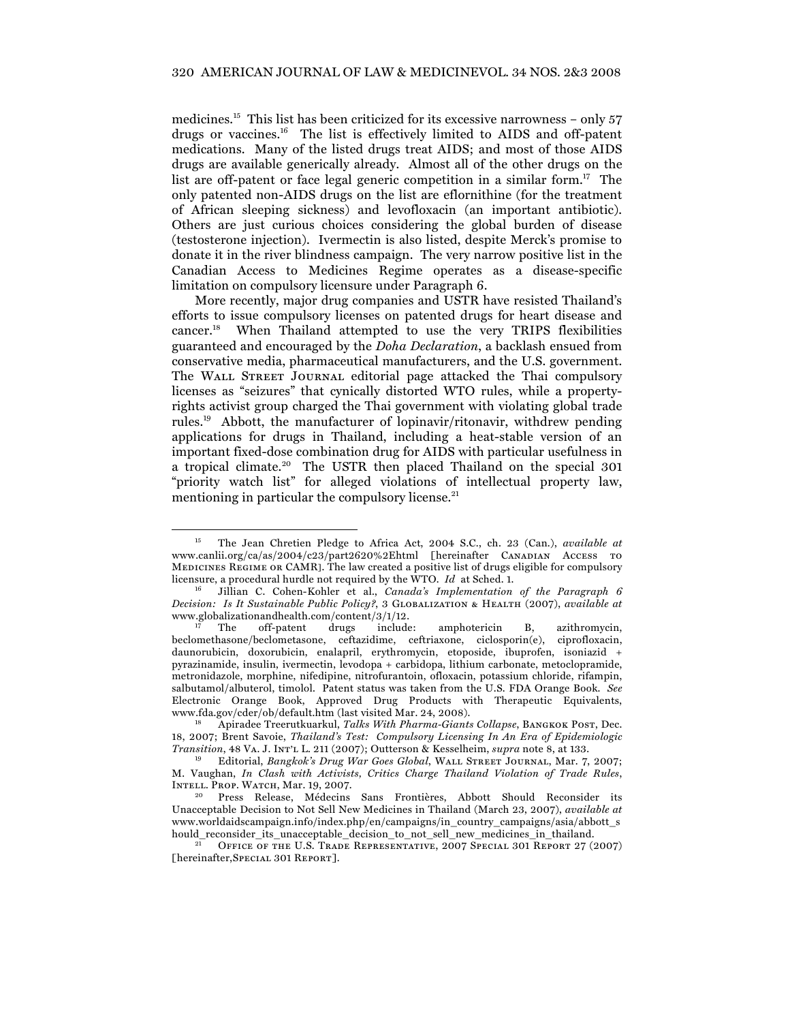medicines.<sup>15</sup> This list has been criticized for its excessive narrowness – only 57 drugs or vaccines.<sup>16</sup> The list is effectively limited to AIDS and off-patent medications. Many of the listed drugs treat AIDS; and most of those AIDS drugs are available generically already. Almost all of the other drugs on the list are off-patent or face legal generic competition in a similar form.<sup>17</sup> The only patented non-AIDS drugs on the list are eflornithine (for the treatment of African sleeping sickness) and levofloxacin (an important antibiotic). Others are just curious choices considering the global burden of disease (testosterone injection). Ivermectin is also listed, despite Merck's promise to donate it in the river blindness campaign. The very narrow positive list in the Canadian Access to Medicines Regime operates as a disease-specific limitation on compulsory licensure under Paragraph 6.

More recently, major drug companies and USTR have resisted Thailand's efforts to issue compulsory licenses on patented drugs for heart disease and cancer.<sup>18</sup> When Thailand attempted to use the very TRIPS flexibilities guaranteed and encouraged by the Doha Declaration, a backlash ensued from conservative media, pharmaceutical manufacturers, and the U.S. government. The Wall Street Journal editorial page attacked the Thai compulsory licenses as "seizures" that cynically distorted WTO rules, while a propertyrights activist group charged the Thai government with violating global trade rules.<sup>19</sup> Abbott, the manufacturer of lopinavir/ritonavir, withdrew pending applications for drugs in Thailand, including a heat-stable version of an important fixed-dose combination drug for AIDS with particular usefulness in a tropical climate.<sup>20</sup> The USTR then placed Thailand on the special 301 "priority watch list" for alleged violations of intellectual property law, mentioning in particular the compulsory license.<sup>21</sup>

<sup>&</sup>lt;sup>15</sup> The Jean Chretien Pledge to Africa Act, 2004 S.C., ch. 23 (Can.), available at www.canlii.org/ca/as/2004/c23/part2620%2Ehtml [hereinafter Canadian Access to Medicines Regime or CAMR]. The law created a positive list of drugs eligible for compulsory licensure, a procedural hurdle not required by the WTO. Id at Sched. 1.

<sup>&</sup>lt;sup>16</sup> Jillian C. Cohen-Kohler et al., Canada's Implementation of the Paragraph 6 Decision: Is It Sustainable Public Policy?, 3 GLOBALIZATION & HEALTH (2007), available at www.globalizationandhealth.com/content/3/1/12.<br><sup>17</sup> The off-patent drugs include:

amphotericin B, azithromycin, beclomethasone/beclometasone, ceftazidime, ceftriaxone, ciclosporin(e), ciprofloxacin, daunorubicin, doxorubicin, enalapril, erythromycin, etoposide, ibuprofen, isoniazid + pyrazinamide, insulin, ivermectin, levodopa + carbidopa, lithium carbonate, metoclopramide, metronidazole, morphine, nifedipine, nitrofurantoin, ofloxacin, potassium chloride, rifampin, salbutamol/albuterol, timolol. Patent status was taken from the U.S. FDA Orange Book. See Electronic Orange Book, Approved Drug Products with Therapeutic Equivalents, www.fda.gov/cder/ob/default.htm (last visited Mar. 24, 2008).

Apiradee Treerutkuarkul, Talks With Pharma-Giants Collapse, BANGKOK POST, Dec. 18, 2007; Brent Savoie, Thailand's Test: Compulsory Licensing In An Era of Epidemiologic Transition, 48 Va. J. Int'l L. 211 (2007); Outterson & Kesselheim, supra note 8, at 133.

<sup>&</sup>lt;sup>19</sup> Editorial, Bangkok's Drug War Goes Global, WALL STREET JOURNAL, Mar. 7, 2007; M. Vaughan, In Clash with Activists, Critics Charge Thailand Violation of Trade Rules, Intell. Prop. Watch, Mar. 19, 2007.

<sup>20</sup> Press Release, Médecins Sans Frontières, Abbott Should Reconsider its Unacceptable Decision to Not Sell New Medicines in Thailand (March 23, 2007), available at www.worldaidscampaign.info/index.php/en/campaigns/in\_country\_campaigns/asia/abbott\_s hould\_reconsider\_its\_unacceptable\_decision\_to\_not\_sell\_new\_medicines\_in\_thailand.

<sup>21</sup> Office of the U.S. Trade Representative, 2007 Special 301 Report 27 (2007) [hereinafter, SPECIAL 301 REPORT].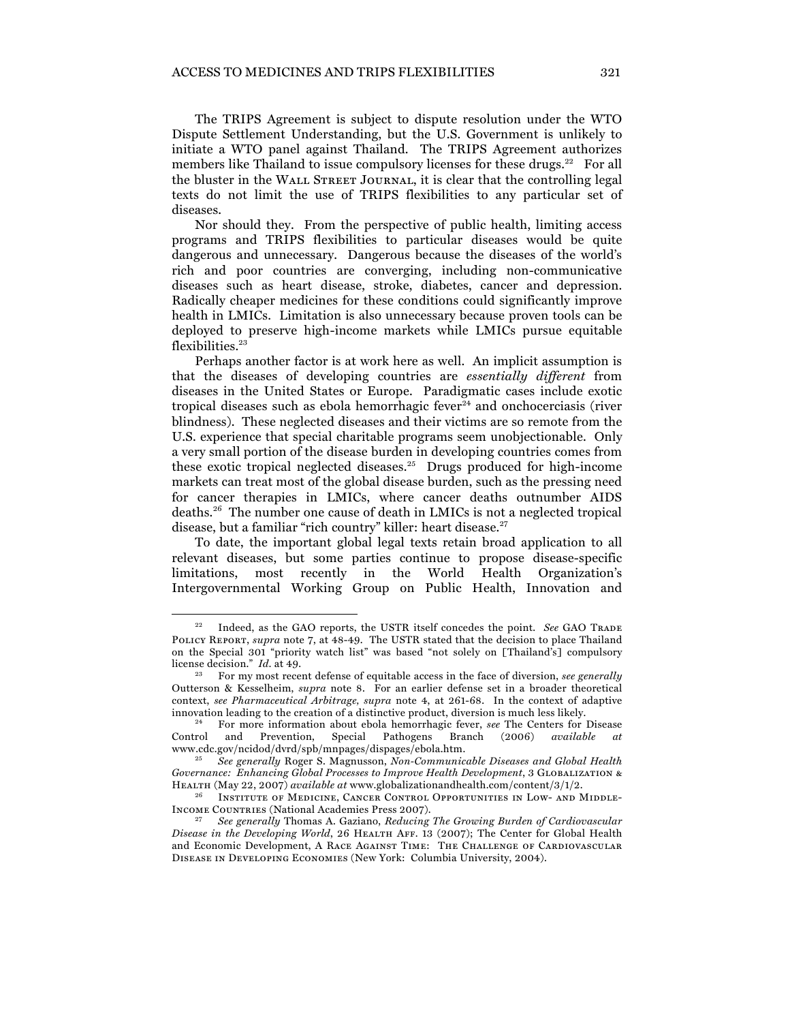The TRIPS Agreement is subject to dispute resolution under the WTO Dispute Settlement Understanding, but the U.S. Government is unlikely to initiate a WTO panel against Thailand. The TRIPS Agreement authorizes members like Thailand to issue compulsory licenses for these drugs.<sup>22</sup> For all the bluster in the Wall Street Journal, it is clear that the controlling legal texts do not limit the use of TRIPS flexibilities to any particular set of diseases.

Nor should they. From the perspective of public health, limiting access programs and TRIPS flexibilities to particular diseases would be quite dangerous and unnecessary. Dangerous because the diseases of the world's rich and poor countries are converging, including non-communicative diseases such as heart disease, stroke, diabetes, cancer and depression. Radically cheaper medicines for these conditions could significantly improve health in LMICs. Limitation is also unnecessary because proven tools can be deployed to preserve high-income markets while LMICs pursue equitable flexibilities. $^{23}$ 

Perhaps another factor is at work here as well. An implicit assumption is that the diseases of developing countries are essentially different from diseases in the United States or Europe. Paradigmatic cases include exotic tropical diseases such as ebola hemorrhagic fever<sup>24</sup> and onchocerciasis (river blindness). These neglected diseases and their victims are so remote from the U.S. experience that special charitable programs seem unobjectionable. Only a very small portion of the disease burden in developing countries comes from these exotic tropical neglected diseases.<sup>25</sup> Drugs produced for high-income markets can treat most of the global disease burden, such as the pressing need for cancer therapies in LMICs, where cancer deaths outnumber AIDS deaths.<sup>26</sup> The number one cause of death in LMICs is not a neglected tropical disease, but a familiar "rich country" killer: heart disease.<sup>27</sup>

To date, the important global legal texts retain broad application to all relevant diseases, but some parties continue to propose disease-specific limitations, most recently in the World Health Organization's Intergovernmental Working Group on Public Health, Innovation and

Indeed, as the GAO reports, the USTR itself concedes the point. See GAO TRADE POLICY REPORT, supra note 7, at 48-49. The USTR stated that the decision to place Thailand on the Special 301 "priority watch list" was based "not solely on [Thailand's] compulsory license decision." Id. at 49.

For my most recent defense of equitable access in the face of diversion, see generally Outterson & Kesselheim, supra note 8. For an earlier defense set in a broader theoretical context, see Pharmaceutical Arbitrage, supra note 4, at 261-68. In the context of adaptive innovation leading to the creation of a distinctive product, diversion is much less likely.

For more information about ebola hemorrhagic fever, see The Centers for Disease<br>and Prevention, Special Pathogens Branch (2006) *available at* Control and Prevention, Special Pathogens Branch (2006) available at www.cdc.gov/ncidod/dvrd/spb/mnpages/dispages/ebola.htm.

<sup>25</sup> See generally Roger S. Magnusson, Non-Communicable Diseases and Global Health Governance: Enhancing Global Processes to Improve Health Development, 3 GLOBALIZATION & HEALTH (May 22, 2007) available at www.globalizationandhealth.com/content/3/1/2.

<sup>&</sup>lt;sup>26</sup> Institute of Medicine, Cancer Control Opportunities in Low- and Middle-Income Countries (National Academies Press 2007).

<sup>&</sup>lt;sup>27</sup> See generally Thomas A. Gaziano, Reducing The Growing Burden of Cardiovascular Disease in the Developing World, 26 HEALTH AFF. 13 (2007); The Center for Global Health and Economic Development, A RACE AGAINST TIME: THE CHALLENGE OF CARDIOVASCULAR Disease in Developing Economies (New York: Columbia University, 2004).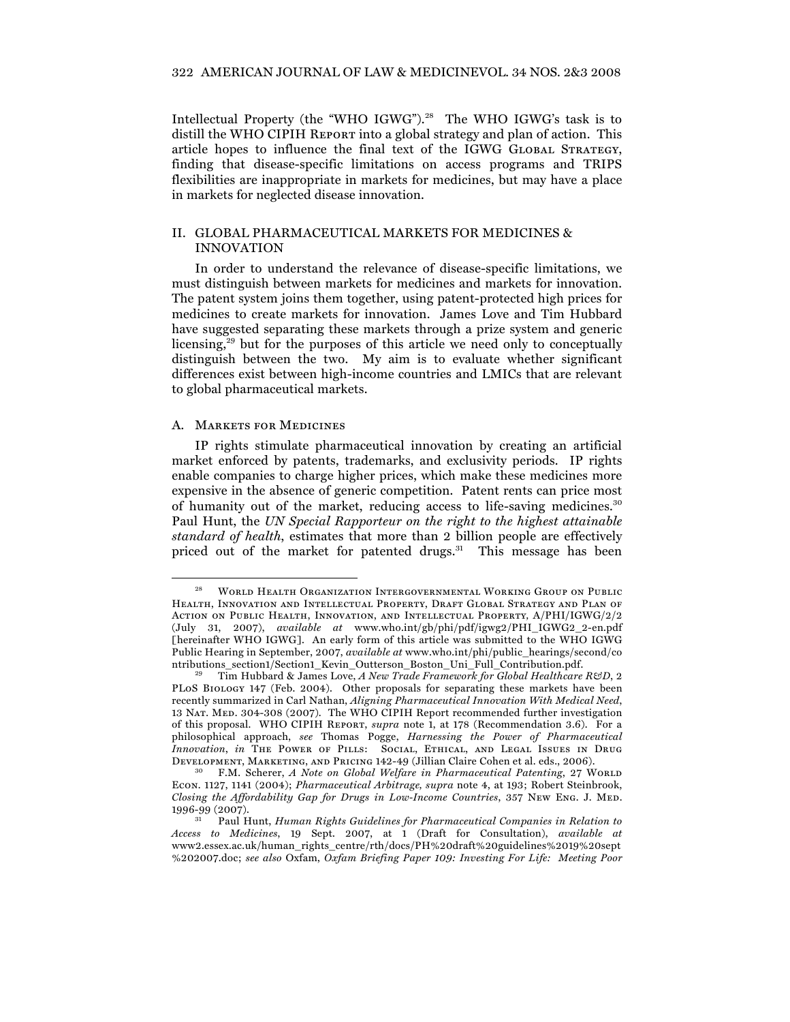Intellectual Property (the "WHO IGWG").<sup>28</sup> The WHO IGWG's task is to distill the WHO CIPIH Report into a global strategy and plan of action. This article hopes to influence the final text of the IGWG GLOBAL STRATEGY, finding that disease-specific limitations on access programs and TRIPS flexibilities are inappropriate in markets for medicines, but may have a place in markets for neglected disease innovation.

#### II. GLOBAL PHARMACEUTICAL MARKETS FOR MEDICINES & INNOVATION

In order to understand the relevance of disease-specific limitations, we must distinguish between markets for medicines and markets for innovation. The patent system joins them together, using patent-protected high prices for medicines to create markets for innovation. James Love and Tim Hubbard have suggested separating these markets through a prize system and generic licensing,<sup>29</sup> but for the purposes of this article we need only to conceptually distinguish between the two. My aim is to evaluate whether significant differences exist between high-income countries and LMICs that are relevant to global pharmaceutical markets.

#### A. Markets for Medicines

 $\overline{a}$ 

IP rights stimulate pharmaceutical innovation by creating an artificial market enforced by patents, trademarks, and exclusivity periods. IP rights enable companies to charge higher prices, which make these medicines more expensive in the absence of generic competition. Patent rents can price most of humanity out of the market, reducing access to life-saving medicines.<sup>30</sup> Paul Hunt, the UN Special Rapporteur on the right to the highest attainable standard of health, estimates that more than 2 billion people are effectively priced out of the market for patented drugs.<sup>31</sup> This message has been

<sup>28</sup> World Health Organization Intergovernmental Working Group on Public Health, Innovation and Intellectual Property, Draft Global Strategy and Plan of Action on Public Health, Innovation, and Intellectual Property, A/PHI/IGWG/2/2 (July 31, 2007), available at www.who.int/gb/phi/pdf/igwg2/PHI\_IGWG2\_2-en.pdf [hereinafter WHO IGWG]. An early form of this article was submitted to the WHO IGWG Public Hearing in September, 2007, available at www.who.int/phi/public\_hearings/second/co ntributions\_section1/Section1\_Kevin\_Outterson\_Boston\_Uni\_Full\_Contribution.pdf.

Tim Hubbard & James Love, A New Trade Framework for Global Healthcare  $R \otimes D$ , 2 PLoS Biology 147 (Feb. 2004). Other proposals for separating these markets have been recently summarized in Carl Nathan, Aligning Pharmaceutical Innovation With Medical Need, 13 Nat. Med. 304-308 (2007). The WHO CIPIH Report recommended further investigation of this proposal. WHO CIPIH Report, supra note 1, at 178 (Recommendation 3.6). For a philosophical approach, see Thomas Pogge, Harnessing the Power of Pharmaceutical Innovation, in The Power of Pills: Social, Ethical, and Legal Issues in Drug Development, Marketing, and Pricing 142-49 (Jillian Claire Cohen et al. eds., 2006).

F.M. Scherer, A Note on Global Welfare in Pharmaceutical Patenting, 27 WORLD Econ. 1127, 1141 (2004); Pharmaceutical Arbitrage, supra note 4, at 193; Robert Steinbrook, Closing the Affordability Gap for Drugs in Low-Income Countries, 357 New Eng. J. Med.  $1996-99$  (2007).

<sup>31</sup> Paul Hunt, Human Rights Guidelines for Pharmaceutical Companies in Relation to Access to Medicines, 19 Sept. 2007, at 1 (Draft for Consultation), available at www2.essex.ac.uk/human\_rights\_centre/rth/docs/PH%20draft%20guidelines%2019%20sept %202007.doc; see also Oxfam, Oxfam Briefing Paper 109: Investing For Life: Meeting Poor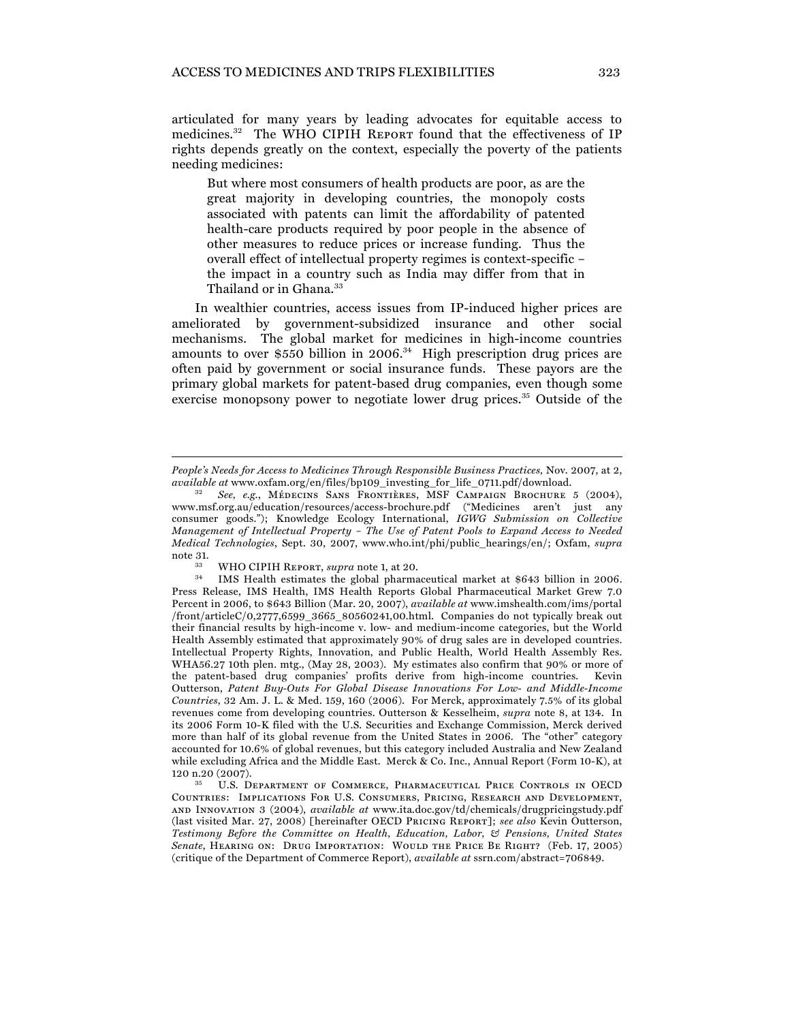articulated for many years by leading advocates for equitable access to medicines.<sup>32</sup> The WHO CIPIH REPORT found that the effectiveness of IP rights depends greatly on the context, especially the poverty of the patients needing medicines:

But where most consumers of health products are poor, as are the great majority in developing countries, the monopoly costs associated with patents can limit the affordability of patented health-care products required by poor people in the absence of other measures to reduce prices or increase funding. Thus the overall effect of intellectual property regimes is context-specific – the impact in a country such as India may differ from that in Thailand or in Ghana.<sup>33</sup>

In wealthier countries, access issues from IP-induced higher prices are ameliorated by government-subsidized insurance and other social mechanisms. The global market for medicines in high-income countries amounts to over \$550 billion in 2006.<sup>34</sup> High prescription drug prices are often paid by government or social insurance funds. These payors are the primary global markets for patent-based drug companies, even though some exercise monopsony power to negotiate lower drug prices.<sup>35</sup> Outside of the

33 <sup>33</sup> WHO CIPIH REPORT, *supra* note 1, at 20.<br><sup>34</sup> IMS Health estimates the global pharma

People's Needs for Access to Medicines Through Responsible Business Practices, Nov. 2007, at 2, available at www.oxfam.org/en/files/bp109\_investing\_for\_life\_0711.pdf/download.

<sup>32</sup> See, e.g., Médecins Sans Frontières, MSF Campaign Brochure 5 (2004), www.msf.org.au/education/resources/access-brochure.pdf ("Medicines aren't just any consumer goods."); Knowledge Ecology International, IGWG Submission on Collective Management of Intellectual Property – The Use of Patent Pools to Expand Access to Needed Medical Technologies, Sept. 30, 2007, www.who.int/phi/public\_hearings/en/; Oxfam, supra note 31.

IMS Health estimates the global pharmaceutical market at \$643 billion in 2006. Press Release, IMS Health, IMS Health Reports Global Pharmaceutical Market Grew 7.0 Percent in 2006, to \$643 Billion (Mar. 20, 2007), available at www.imshealth.com/ims/portal /front/articleC/0,2777,6599\_3665\_80560241,00.html. Companies do not typically break out their financial results by high-income v. low- and medium-income categories, but the World Health Assembly estimated that approximately 90% of drug sales are in developed countries. Intellectual Property Rights, Innovation, and Public Health, World Health Assembly Res. WHA56.27 10th plen. mtg., (May 28, 2003). My estimates also confirm that 90% or more of the patent-based drug companies' profits derive from high-income countries. Kevin Outterson, Patent Buy-Outs For Global Disease Innovations For Low- and Middle-Income Countries, 32 Am. J. L. & Med. 159, 160 (2006). For Merck, approximately 7.5% of its global revenues come from developing countries. Outterson & Kesselheim, supra note 8, at 134. In its 2006 Form 10-K filed with the U.S. Securities and Exchange Commission, Merck derived more than half of its global revenue from the United States in 2006. The "other" category accounted for 10.6% of global revenues, but this category included Australia and New Zealand while excluding Africa and the Middle East. Merck & Co. Inc., Annual Report (Form 10-K), at 120 n.20 (2007).

U.S. DEPARTMENT OF COMMERCE, PHARMACEUTICAL PRICE CONTROLS IN OECD Countries: Implications For U.S. Consumers, Pricing, Research and Development, and Innovation 3 (2004), available at www.ita.doc.gov/td/chemicals/drugpricingstudy.pdf (last visited Mar. 27, 2008) [hereinafter OECD Pricing Report]; see also Kevin Outterson, Testimony Before the Committee on Health, Education, Labor, & Pensions, United States Senate, HEARING ON: DRUG IMPORTATION: WOULD THE PRICE BE RIGHT? (Feb. 17, 2005) (critique of the Department of Commerce Report), available at ssrn.com/abstract=706849.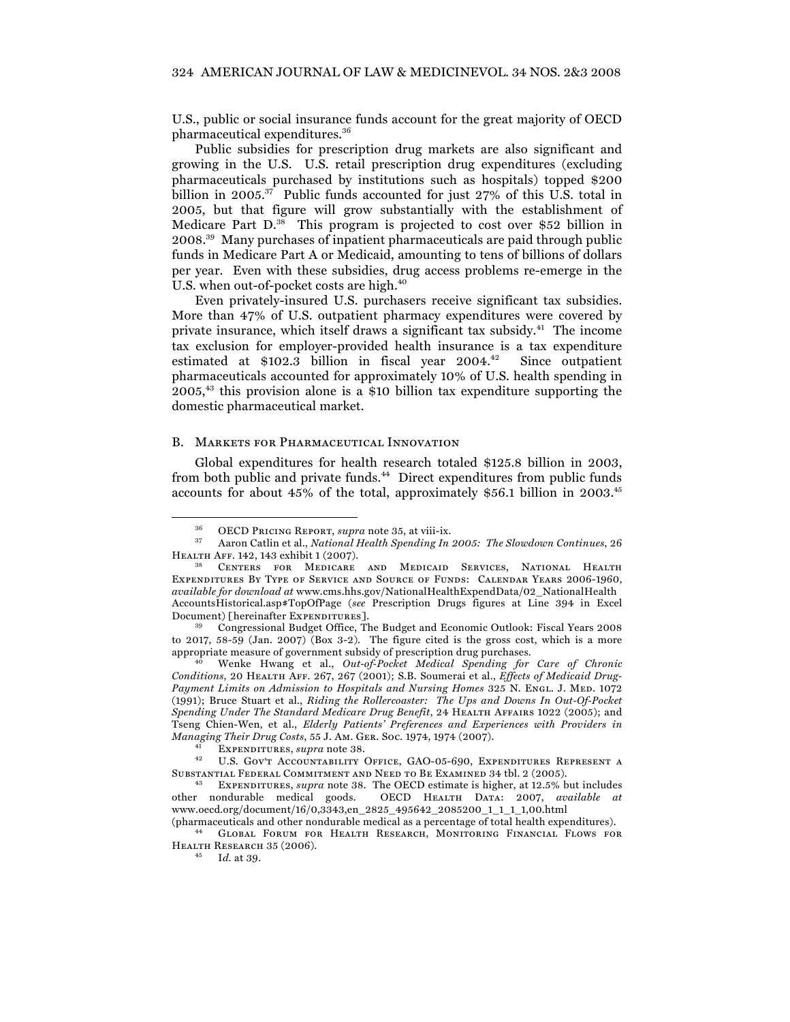U.S., public or social insurance funds account for the great majority of OECD pharmaceutical expenditures.<sup>36</sup>

Public subsidies for prescription drug markets are also significant and growing in the U.S. U.S. retail prescription drug expenditures (excluding pharmaceuticals purchased by institutions such as hospitals) topped \$200 billion in 2005.<sup>37</sup> Public funds accounted for just 27% of this U.S. total in 2005, but that figure will grow substantially with the establishment of Medicare Part D.<sup>38</sup> This program is projected to cost over \$52 billion in 2008.<sup>39</sup> Many purchases of inpatient pharmaceuticals are paid through public funds in Medicare Part A or Medicaid, amounting to tens of billions of dollars per year. Even with these subsidies, drug access problems re-emerge in the U.S. when out-of-pocket costs are high.<sup>40</sup>

Even privately-insured U.S. purchasers receive significant tax subsidies. More than 47% of U.S. outpatient pharmacy expenditures were covered by private insurance, which itself draws a significant tax subsidy.<sup>41</sup> The income tax exclusion for employer-provided health insurance is a tax expenditure estimated at \$102.3 billion in fiscal year 2004.<sup>42</sup> Since outpatient pharmaceuticals accounted for approximately 10% of U.S. health spending in  $2005<sup>43</sup>$  this provision alone is a \$10 billion tax expenditure supporting the domestic pharmaceutical market.

#### B. Markets for Pharmaceutical Innovation

Global expenditures for health research totaled \$125.8 billion in 2003, from both public and private funds.<sup>44</sup> Direct expenditures from public funds accounts for about 45% of the total, approximately \$56.1 billion in 2003.<sup>45</sup>

<sup>40</sup> Wenke Hwang et al., Out-of-Pocket Medical Spending for Care of Chronic Conditions, 20 HEALTH AFF. 267, 267 (2001); S.B. Soumerai et al., Effects of Medicaid Drug-Payment Limits on Admission to Hospitals and Nursing Homes 325 N. Engl. J. MED. 1072 (1991); Bruce Stuart et al., Riding the Rollercoaster: The Ups and Downs In Out-Of-Pocket Spending Under The Standard Medicare Drug Benefit, 24 HEALTH AFFAIRS 1022 (2005); and Tseng Chien-Wen, et al., Elderly Patients' Preferences and Experiences with Providers in Managing Their Drug Costs, 55 J. Am. Ger. Soc. 1974, 1974 (2007).

<sup>36</sup> <sup>36</sup> OECD PRICING REPORT, *supra* note 35, at viii-ix.<br><sup>37</sup> Aprop Catlin at al. *National Health Spending In* 

<sup>37</sup> Aaron Catlin et al., National Health Spending In 2005: The Slowdown Continues, 26 Health Aff. 142, 143 exhibit 1 (2007).

<sup>&</sup>lt;sup>38</sup> CENTERS FOR MEDICARE AND MEDICAID SERVICES, NATIONAL HEALTH Expenditures By Type of Service and Source of Funds: Calendar Years 2006-1960, available for download at www.cms.hhs.gov/NationalHealthExpendData/02\_NationalHealth AccountsHistorical.asp#TopOfPage (see Prescription Drugs figures at Line 394 in Excel Document) [hereinafter Expenditures].

<sup>39</sup> Congressional Budget Office, The Budget and Economic Outlook: Fiscal Years 2008 to 2017, 58-59 (Jan. 2007) (Box 3-2). The figure cited is the gross cost, which is a more appropriate measure of government subsidy of prescription drug purchases.

<sup>41</sup> <sup>41</sup> EXPENDITURES, *supra* note 38.

U.S. GOV'T ACCOUNTABILITY OFFICE, GAO-05-690, EXPENDITURES REPRESENT A Substantial Federal Commitment and Need to Be Examined 34 tbl. 2 (2005).

<sup>&</sup>lt;sup>43</sup> Expenditures, supra note 38. The OECD estimate is higher, at 12.5% but includes other nondurable medical goods. OECD HEALTH DATA: 2007, available at www.oecd.org/document/16/0,3343,en\_2825\_495642\_2085200\_1\_1\_1\_1,00.html

<sup>(</sup>pharmaceuticals and other nondurable medical as a percentage of total health expenditures). 44 Global Forum for Health Research, Monitoring Financial Flows for

HEALTH RESEARCH 35 (2006). 45

Id. at 39.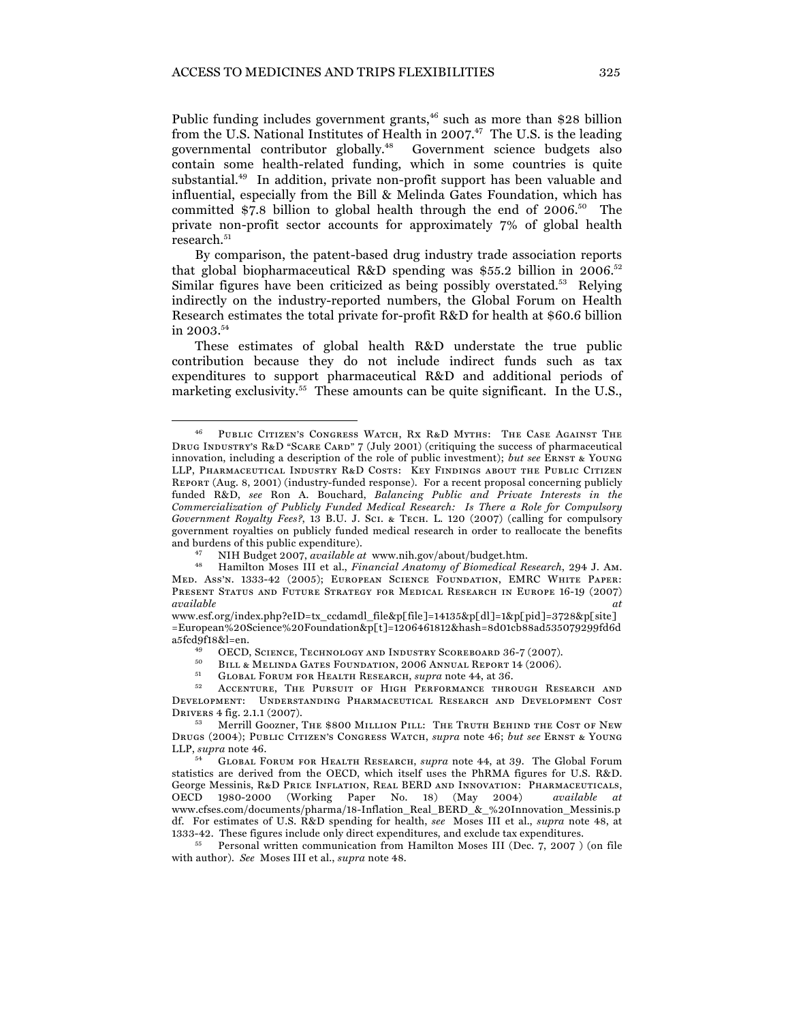Public funding includes government grants, $46$  such as more than \$28 billion from the U.S. National Institutes of Health in 2007. <sup>47</sup> The U.S. is the leading governmental contributor globally.<sup>48</sup> Government science budgets also contain some health-related funding, which in some countries is quite substantial.<sup>49</sup> In addition, private non-profit support has been valuable and influential, especially from the Bill & Melinda Gates Foundation, which has committed  $$7.8$  billion to global health through the end of 2006.<sup>50</sup> The private non-profit sector accounts for approximately 7% of global health research.<sup>51</sup>

By comparison, the patent-based drug industry trade association reports that global biopharmaceutical R&D spending was \$55.2 billion in 2006.<sup>52</sup> Similar figures have been criticized as being possibly overstated.<sup>53</sup> Relying indirectly on the industry-reported numbers, the Global Forum on Health Research estimates the total private for-profit R&D for health at \$60.6 billion in 2003. $^{54}$ 

These estimates of global health R&D understate the true public contribution because they do not include indirect funds such as tax expenditures to support pharmaceutical R&D and additional periods of marketing exclusivity.<sup>55</sup> These amounts can be quite significant. In the U.S.,

<sup>46</sup> Public Citizen's Congress Watch, Rx R&D Myths: The Case Against The DRUG INDUSTRY'S R&D "SCARE CARD" 7 (July 2001) (critiquing the success of pharmaceutical innovation, including a description of the role of public investment); but see ERNST & YOUNG LLP, Pharmaceutical Industry R&D Costs: Key Findings about the Public Citizen Report (Aug. 8, 2001) (industry-funded response). For a recent proposal concerning publicly funded R&D, see Ron A. Bouchard, Balancing Public and Private Interests in the Commercialization of Publicly Funded Medical Research: Is There a Role for Compulsory Government Royalty Fees?, 13 B.U. J. Sci. & Tech. L. 120 (2007) (calling for compulsory government royalties on publicly funded medical research in order to reallocate the benefits and burdens of this public expenditure).

<sup>&</sup>lt;sup>47</sup> NIH Budget 2007, *available at* www.nih.gov/about/budget.htm.

Hamilton Moses III et al., Financial Anatomy of Biomedical Research, 294 J. Am. Med. Ass'n. 1333-42 (2005); European Science Foundation, EMRC White Paper: PRESENT STATUS AND FUTURE STRATEGY FOR MEDICAL RESEARCH IN EUROPE 16-19 (2007)<br>available at  $\qquad \qquad \textit{available} \qquad \qquad \qquad \qquad \qquad at$ 

www.esf.org/index.php?eID=tx\_ccdamdl\_file&p[file]=14135&p[dl]=1&p[pid]=3728&p[site] =European%20Science%20Foundation&p[t]=1206461812&hash=8d01cb88ad535079299fd6d a5fcd9f18&l=en.

OECD, SCIENCE, TECHNOLOGY AND INDUSTRY SCOREBOARD 36-7 (2007).

<sup>50</sup> Bill & Melinda Gates Foundation, 2006 Annual Report 14 (2006).

<sup>51</sup> Global Forum for Health Research, supra note 44, at 36.

<sup>52</sup> Accenture, The Pursuit of High Performance through Research and Development: Understanding Pharmaceutical Research and Development Cost Drivers 4 fig. 2.1.1 (2007).

<sup>&</sup>lt;sup>53</sup> Merrill Goozner, The \$800 Million Pill: The Truth Behind the Cost of New Drugs (2004); Public Citizen's Congress Watch, supra note 46; but see Ernst & Young LLP, supra note 46.

<sup>54</sup> Global Forum for Health Research, supra note 44, at 39. The Global Forum statistics are derived from the OECD, which itself uses the PhRMA figures for U.S. R&D. George Messinis, R&D Price Inflation, Real BERD and Innovation: Pharmaceuticals, OECD 1980-2000 (Working Paper No. 18) (May 2004) available at www.cfses.com/documents/pharma/18-Inflation\_Real\_BERD\_&\_%20Innovation\_Messinis.p df. For estimates of U.S. R&D spending for health, see Moses III et al., supra note 48, at 1333-42. These figures include only direct expenditures, and exclude tax expenditures.

<sup>55</sup> Personal written communication from Hamilton Moses III (Dec. 7, 2007 ) (on file with author). See Moses III et al., supra note 48.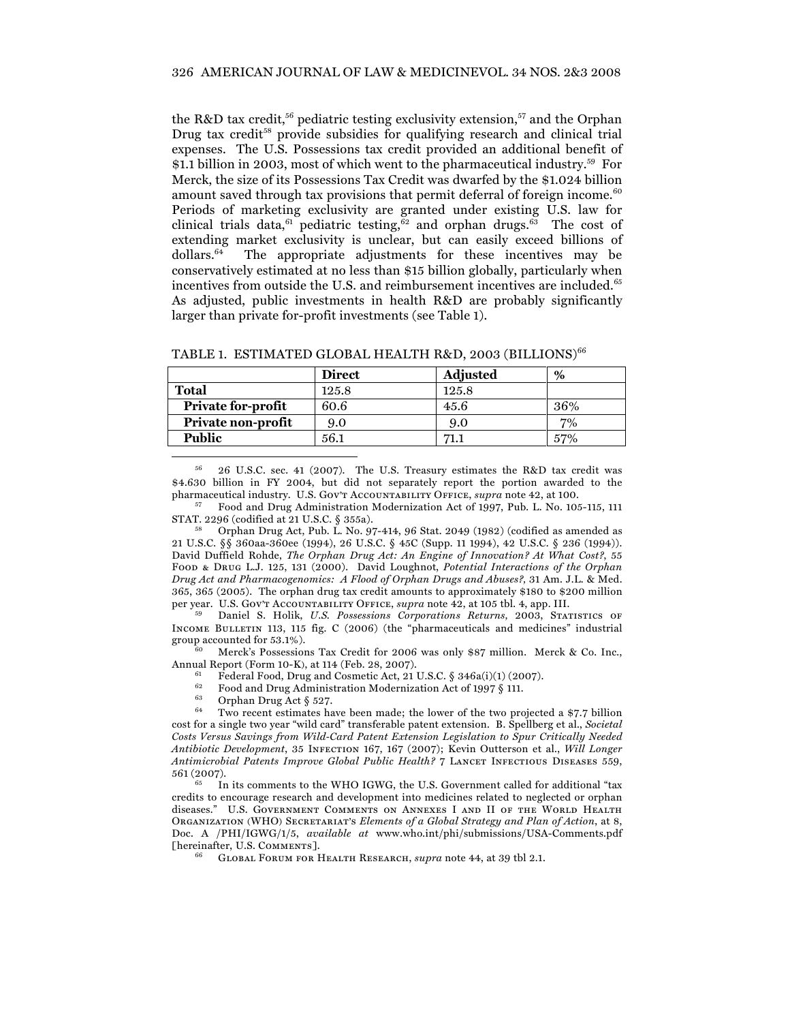the R&D tax credit,<sup>56</sup> pediatric testing exclusivity extension,<sup>57</sup> and the Orphan Drug tax credit<sup>58</sup> provide subsidies for qualifying research and clinical trial expenses. The U.S. Possessions tax credit provided an additional benefit of \$1.1 billion in 2003, most of which went to the pharmaceutical industry.<sup>59</sup> For Merck, the size of its Possessions Tax Credit was dwarfed by the \$1.024 billion amount saved through tax provisions that permit deferral of foreign income.<sup>60</sup> Periods of marketing exclusivity are granted under existing U.S. law for clinical trials data, $^{61}$  pediatric testing, $^{62}$  and orphan drugs. $^{63}$  The cost of extending market exclusivity is unclear, but can easily exceed billions of dollars.<sup>64</sup> The appropriate adjustments for these incentives may be The appropriate adjustments for these incentives may be conservatively estimated at no less than \$15 billion globally, particularly when incentives from outside the U.S. and reimbursement incentives are included.<sup>65</sup> As adjusted, public investments in health R&D are probably significantly larger than private for-profit investments (see Table 1).

|                           | <b>Direct</b> | <b>Adjusted</b> | $\%$ |
|---------------------------|---------------|-----------------|------|
| <b>Total</b>              | 125.8         | 125.8           |      |
| <b>Private for-profit</b> | 60.6          | 45.6            | 36%  |
| Private non-profit        | 9.0           | 9.0             | 7%   |
| <b>Public</b>             | 56.1          | 71.1            | 57%  |
|                           |               |                 |      |

TABLE 1. ESTIMATED GLOBAL HEALTH R&D, 2003 (BILLIONS)<sup>66</sup>

<sup>56</sup> 26 U.S.C. sec. 41 (2007). The U.S. Treasury estimates the R&D tax credit was \$4.630 billion in FY 2004, but did not separately report the portion awarded to the pharmaceutical industry. U.S. Gov't Accountability Office, supra note 42, at 100.

<sup>57</sup> Food and Drug Administration Modernization Act of 1997, Pub. L. No. 105-115, 111 STAT. 2296 (codified at 21 U.S.C. § 355a).

<sup>58</sup> Orphan Drug Act, Pub. L. No. 97-414, 96 Stat. 2049 (1982) (codified as amended as 21 U.S.C. §§ 360aa-360ee (1994), 26 U.S.C. § 45C (Supp. 11 1994), 42 U.S.C. § 236 (1994)). David Duffield Rohde, The Orphan Drug Act: An Engine of Innovation? At What Cost?, 55 Food & Drug L.J. 125, 131 (2000). David Loughnot, Potential Interactions of the Orphan Drug Act and Pharmacogenomics: A Flood of Orphan Drugs and Abuses?, 31 Am. J.L. & Med. 365, 365 (2005). The orphan drug tax credit amounts to approximately \$180 to \$200 million per year. U.S. Gov't Accountability Office, supra note 42, at 105 tbl. 4, app. III.

Daniel S. Holik, U.S. Possessions Corporations Returns, 2003, STATISTICS OF Income Bulletin 113, 115 fig. C (2006) (the "pharmaceuticals and medicines" industrial group accounted for 53.1%).

Merck's Possessions Tax Credit for 2006 was only \$87 million. Merck & Co. Inc., Annual Report (Form 10-K), at 114 (Feb. 28, 2007).

- <sup>61</sup> Federal Food, Drug and Cosmetic Act, 21 U.S.C.  $\frac{6346a(i)}{12007}$ .
- <sup>62</sup> Food and Drug Administration Modernization Act of 1997  $\S$  111.<br><sup>63</sup> Orphan Drug Act  $\S$  527
- <sup>63</sup> Orphan Drug Act  $\S 527$ .

Two recent estimates have been made; the lower of the two projected a \$7.7 billion cost for a single two year "wild card" transferable patent extension. B. Spellberg et al., Societal Costs Versus Savings from Wild-Card Patent Extension Legislation to Spur Critically Needed Antibiotic Development, 35 INFECTION 167, 167 (2007); Kevin Outterson et al., Will Longer Antimicrobial Patents Improve Global Public Health? 7 LANCET INFECTIOUS DISEASES 559, 561 (2007).

In its comments to the WHO IGWG, the U.S. Government called for additional "tax credits to encourage research and development into medicines related to neglected or orphan diseases." U.S. Government Comments on Annexes I and II of the World Health ORGANIZATION (WHO) SECRETARIAT's Elements of a Global Strategy and Plan of Action, at 8, Doc. A /PHI/IGWG/1/5, available at www.who.int/phi/submissions/USA-Comments.pdf [hereinafter, U.S. COMMENTS].

66 Global Forum for Health Research, supra note 44, at 39 tbl 2.1.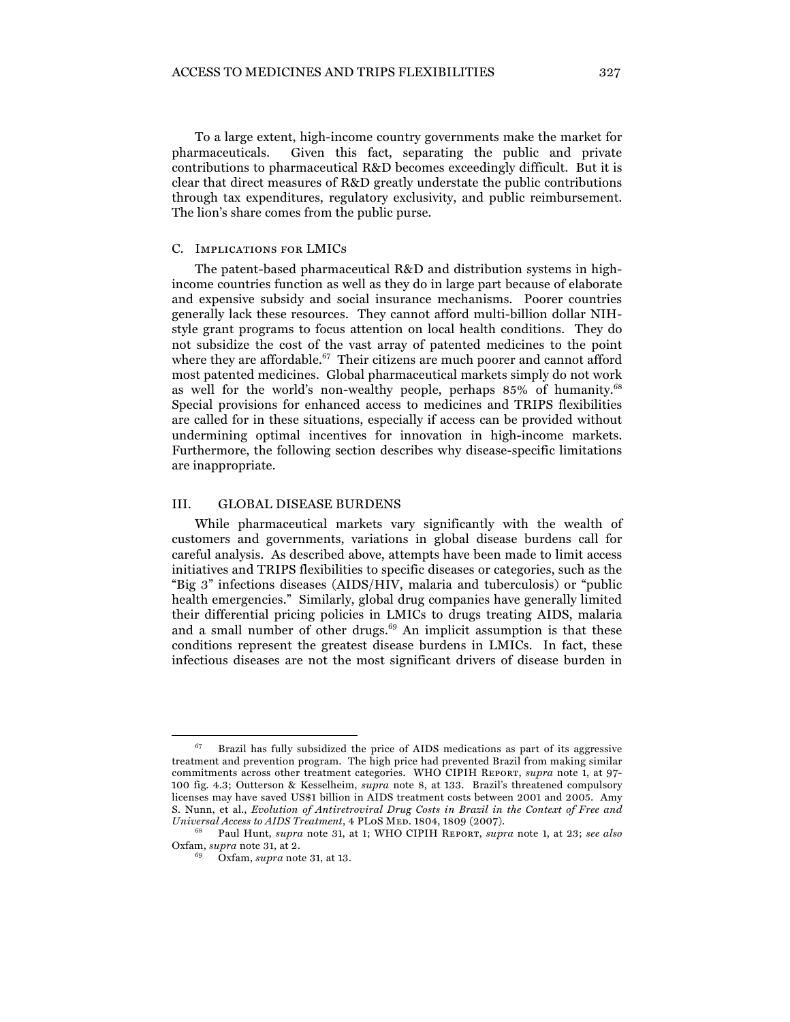To a large extent, high-income country governments make the market for pharmaceuticals. Given this fact, separating the public and private contributions to pharmaceutical R&D becomes exceedingly difficult. But it is clear that direct measures of R&D greatly understate the public contributions through tax expenditures, regulatory exclusivity, and public reimbursement. The lion's share comes from the public purse.

#### C. Implications for LMICs

The patent-based pharmaceutical R&D and distribution systems in highincome countries function as well as they do in large part because of elaborate and expensive subsidy and social insurance mechanisms. Poorer countries generally lack these resources. They cannot afford multi-billion dollar NIHstyle grant programs to focus attention on local health conditions. They do not subsidize the cost of the vast array of patented medicines to the point where they are affordable.<sup>67</sup> Their citizens are much poorer and cannot afford most patented medicines. Global pharmaceutical markets simply do not work as well for the world's non-wealthy people, perhaps 85% of humanity.<sup>68</sup> Special provisions for enhanced access to medicines and TRIPS flexibilities are called for in these situations, especially if access can be provided without undermining optimal incentives for innovation in high-income markets. Furthermore, the following section describes why disease-specific limitations are inappropriate.

#### III. GLOBAL DISEASE BURDENS

While pharmaceutical markets vary significantly with the wealth of customers and governments, variations in global disease burdens call for careful analysis. As described above, attempts have been made to limit access initiatives and TRIPS flexibilities to specific diseases or categories, such as the "Big 3" infections diseases (AIDS/HIV, malaria and tuberculosis) or "public health emergencies." Similarly, global drug companies have generally limited their differential pricing policies in LMICs to drugs treating AIDS, malaria and a small number of other drugs. $69$  An implicit assumption is that these conditions represent the greatest disease burdens in LMICs. In fact, these infectious diseases are not the most significant drivers of disease burden in

 $67$  Brazil has fully subsidized the price of AIDS medications as part of its aggressive treatment and prevention program. The high price had prevented Brazil from making similar commitments across other treatment categories. WHO CIPIH REPORT, supra note 1, at 97-100 fig. 4.3; Outterson & Kesselheim, supra note 8, at 133. Brazil's threatened compulsory licenses may have saved US\$1 billion in AIDS treatment costs between 2001 and 2005. Amy S. Nunn, et al., Evolution of Antiretroviral Drug Costs in Brazil in the Context of Free and  $Universal Access to AIDS Treatment, 4 PLoS MED, 1804, 1809 (2007).$ 

Paul Hunt, supra note 31, at 1; WHO CIPIH REPORT, supra note 1, at 23; see also Oxfam, supra note 31, at 2.

Oxfam, supra note 31, at 13.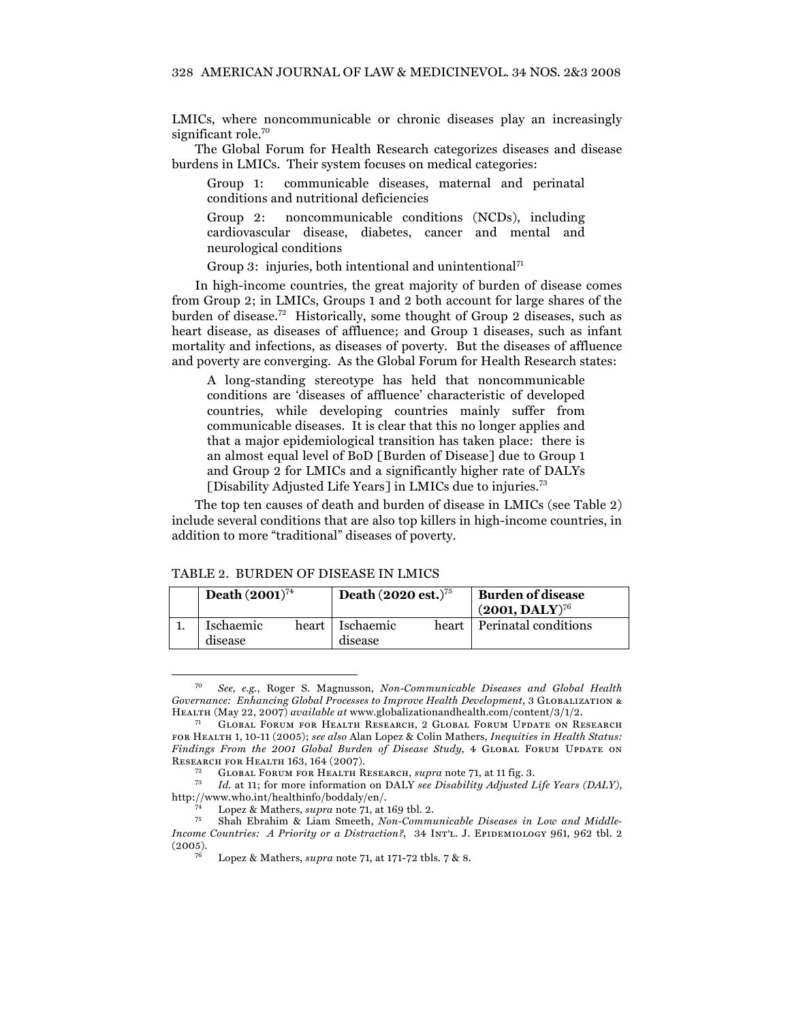LMICs, where noncommunicable or chronic diseases play an increasingly significant role.<sup>70</sup>

The Global Forum for Health Research categorizes diseases and disease burdens in LMICs. Their system focuses on medical categories:

Group 1: communicable diseases, maternal and perinatal conditions and nutritional deficiencies

Group 2: noncommunicable conditions (NCDs), including cardiovascular disease, diabetes, cancer and mental and neurological conditions

Group 3: injuries, both intentional and unintentional<sup>71</sup>

In high-income countries, the great majority of burden of disease comes from Group 2; in LMICs, Groups 1 and 2 both account for large shares of the burden of disease.<sup>72</sup> Historically, some thought of Group 2 diseases, such as heart disease, as diseases of affluence; and Group 1 diseases, such as infant mortality and infections, as diseases of poverty. But the diseases of affluence and poverty are converging. As the Global Forum for Health Research states:

A long-standing stereotype has held that noncommunicable conditions are 'diseases of affluence' characteristic of developed countries, while developing countries mainly suffer from communicable diseases. It is clear that this no longer applies and that a major epidemiological transition has taken place: there is an almost equal level of BoD [Burden of Disease] due to Group 1 and Group 2 for LMICs and a significantly higher rate of DALYs [Disability Adjusted Life Years] in LMICs due to injuries.<sup>73</sup>

The top ten causes of death and burden of disease in LMICs (see Table 2) include several conditions that are also top killers in high-income countries, in addition to more "traditional" diseases of poverty.

| Death $(2001)^{74}$  | Death (2020 est.) <sup>75</sup> |       | <b>Burden of disease</b><br>$(2001, DALY)^{76}$ |
|----------------------|---------------------------------|-------|-------------------------------------------------|
| Ischaemic<br>disease | heart   Ischaemic<br>disease    | heart | Perinatal conditions                            |

#### TABLE 2. BURDEN OF DISEASE IN LMICS

l

<sup>70</sup> See, e.g., Roger S. Magnusson, Non-Communicable Diseases and Global Health Governance: Enhancing Global Processes to Improve Health Development, 3 GLOBALIZATION & HEALTH (May 22, 2007) available at www.globalizationandhealth.com/content/3/1/2.

<sup>71</sup> Global Forum for Health Research, 2 Global Forum Update on Research FOR HEALTH 1, 10-11 (2005); see also Alan Lopez & Colin Mathers, Inequities in Health Status: Findings From the 2001 Global Burden of Disease Study, 4 GLOBAL FORUM UPDATE ON Research for Health 163, 164 (2007). 72

Global Forum for Health Research, supra note 71, at 11 fig. 3.

<sup>73</sup> Id. at 11; for more information on DALY see Disability Adjusted Life Years (DALY), http://www.who.int/healthinfo/boddaly/en/.

 $^{74}$  Lopez & Mathers, supra note 71, at 169 tbl. 2.<br> $^{75}$  Shah Ehrahim & Liam Smooth, New Commun

Shah Ebrahim & Liam Smeeth, Non-Communicable Diseases in Low and Middle-Income Countries: A Priority or a Distraction?, 34 Int'l. J. EPIDEMIOLOGY 961, 962 tbl. 2 (2005).

Lopez & Mathers, supra note 71, at 171-72 tbls. 7 & 8.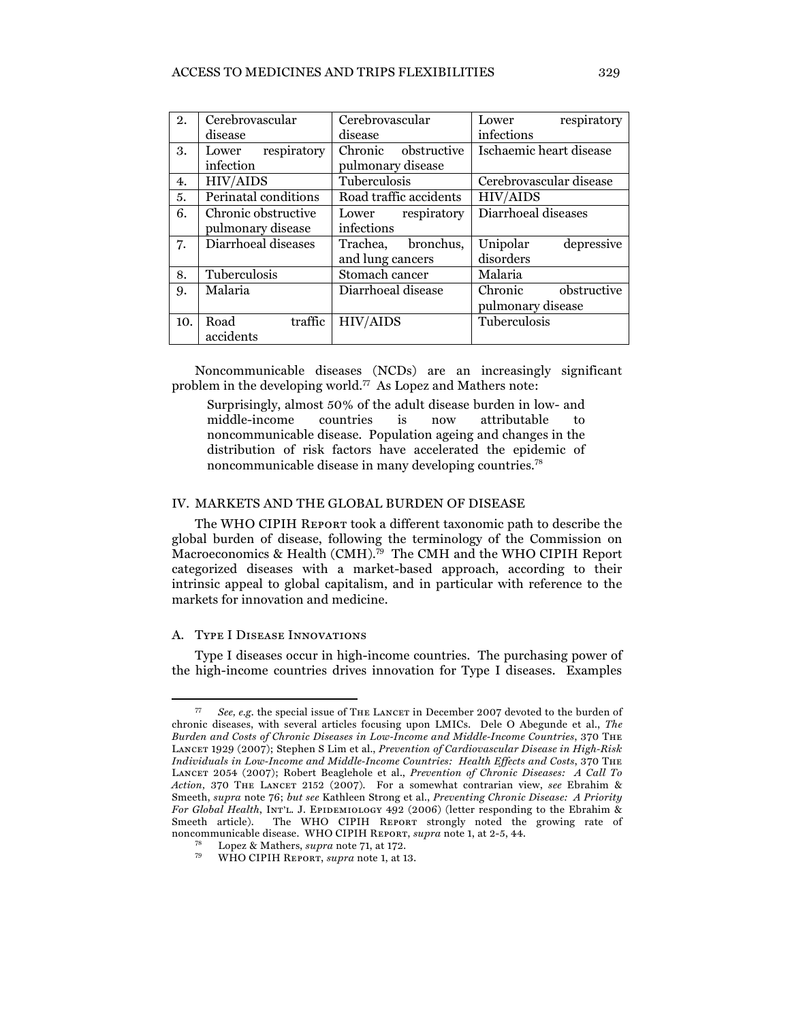| 2.  | Cerebrovascular      | Cerebrovascular        | respiratory<br>Lower    |
|-----|----------------------|------------------------|-------------------------|
|     | disease              | disease                | infections              |
| 3.  | Lower<br>respiratory | Chronic obstructive    | Ischaemic heart disease |
|     | infection            | pulmonary disease      |                         |
| 4.  | <b>HIV/AIDS</b>      | Tuberculosis           | Cerebrovascular disease |
| 5.  | Perinatal conditions | Road traffic accidents | <b>HIV/AIDS</b>         |
| 6.  | Chronic obstructive  | respiratory<br>Lower   | Diarrhoeal diseases     |
|     | pulmonary disease    | infections             |                         |
| 7.  | Diarrhoeal diseases  | Trachea, bronchus,     | Unipolar<br>depressive  |
|     |                      | and lung cancers       | disorders               |
| 8.  | Tuberculosis         | Stomach cancer         | Malaria                 |
| 9.  | Malaria              | Diarrhoeal disease     | Chronic<br>obstructive  |
|     |                      |                        | pulmonary disease       |
| 10. | traffic<br>Road      | <b>HIV/AIDS</b>        | <b>Tuberculosis</b>     |
|     | accidents            |                        |                         |

Noncommunicable diseases (NCDs) are an increasingly significant problem in the developing world.<sup>77</sup> As Lopez and Mathers note:

Surprisingly, almost 50% of the adult disease burden in low- and middle-income countries is now attributable to noncommunicable disease. Population ageing and changes in the distribution of risk factors have accelerated the epidemic of noncommunicable disease in many developing countries.<sup>78</sup>

#### IV. MARKETS AND THE GLOBAL BURDEN OF DISEASE

The WHO CIPIH Report took a different taxonomic path to describe the global burden of disease, following the terminology of the Commission on Macroeconomics & Health (CMH).<sup>79</sup> The CMH and the WHO CIPIH Report categorized diseases with a market-based approach, according to their intrinsic appeal to global capitalism, and in particular with reference to the markets for innovation and medicine.

#### A. Type I Disease Innovations

Type I diseases occur in high-income countries. The purchasing power of the high-income countries drives innovation for Type I diseases. Examples

 $\overline{a}$ 77 See, e.g. the special issue of THE LANCET in December 2007 devoted to the burden of chronic diseases, with several articles focusing upon LMICs. Dele O Abegunde et al., The Burden and Costs of Chronic Diseases in Low-Income and Middle-Income Countries, 370 The LANCET 1929 (2007); Stephen S Lim et al., Prevention of Cardiovascular Disease in High-Risk Individuals in Low-Income and Middle-Income Countries: Health Effects and Costs, 370 The LANCET 2054 (2007); Robert Beaglehole et al., Prevention of Chronic Diseases: A Call To Action, 370 THE LANCET 2152 (2007). For a somewhat contrarian view, see Ebrahim & Smeeth, supra note 76; but see Kathleen Strong et al., Preventing Chronic Disease: A Priority For Global Health, INT'L. J. EPIDEMIOLOGY 492 (2006) (letter responding to the Ebrahim & Smeeth article). The WHO CIPIH REPORT strongly noted the growing rate of The WHO CIPIH REPORT strongly noted the growing rate of noncommunicable disease. WHO CIPIH Report, supra note 1, at 2-5, 44.

<sup>&</sup>lt;sup>78</sup> Lopez & Mathers, *supra* note 71, at 172.

<sup>&</sup>lt;sup>79</sup> WHO CIPIH REPORT, *supra* note 1, at 13.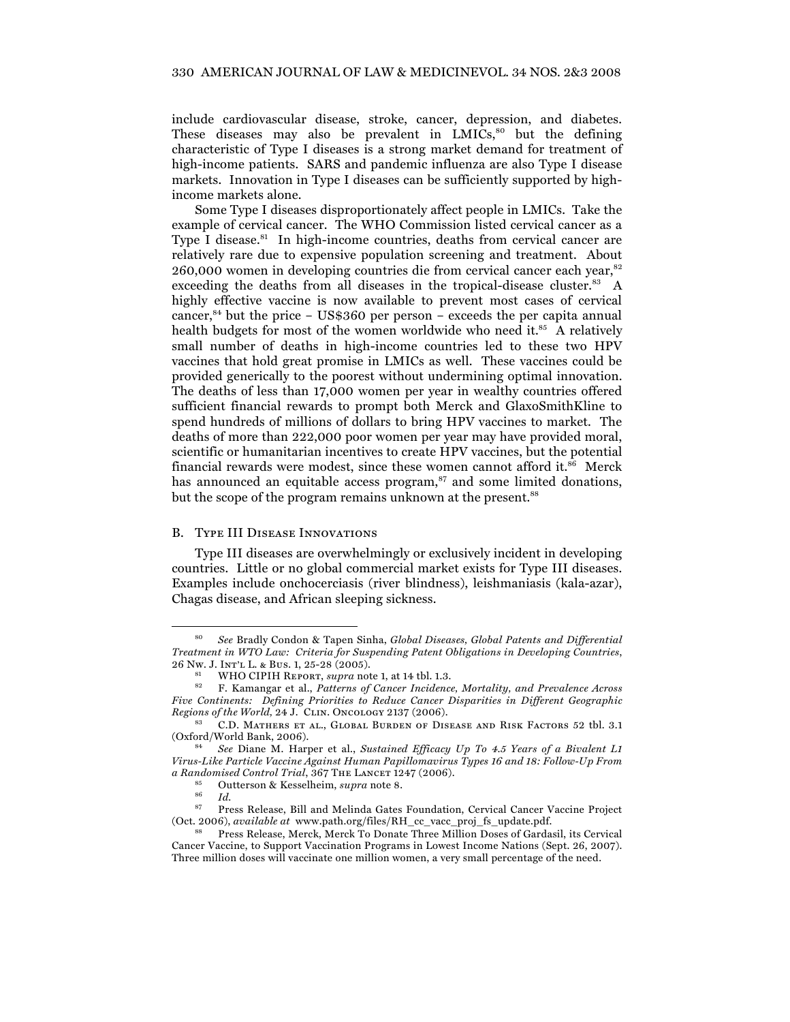include cardiovascular disease, stroke, cancer, depression, and diabetes. These diseases may also be prevalent in  $LMICS<sub>60</sub>$  but the defining characteristic of Type I diseases is a strong market demand for treatment of high-income patients. SARS and pandemic influenza are also Type I disease markets. Innovation in Type I diseases can be sufficiently supported by highincome markets alone.

Some Type I diseases disproportionately affect people in LMICs. Take the example of cervical cancer. The WHO Commission listed cervical cancer as a Type I disease. $81$  In high-income countries, deaths from cervical cancer are relatively rare due to expensive population screening and treatment. About 260,000 women in developing countries die from cervical cancer each year,<sup>82</sup> exceeding the deaths from all diseases in the tropical-disease cluster.<sup>83</sup> A highly effective vaccine is now available to prevent most cases of cervical cancer,<sup>84</sup> but the price – US\$360 per person – exceeds the per capita annual health budgets for most of the women worldwide who need it.<sup>85</sup> A relatively small number of deaths in high-income countries led to these two HPV vaccines that hold great promise in LMICs as well. These vaccines could be provided generically to the poorest without undermining optimal innovation. The deaths of less than 17,000 women per year in wealthy countries offered sufficient financial rewards to prompt both Merck and GlaxoSmithKline to spend hundreds of millions of dollars to bring HPV vaccines to market. The deaths of more than 222,000 poor women per year may have provided moral, scientific or humanitarian incentives to create HPV vaccines, but the potential financial rewards were modest, since these women cannot afford it.<sup>86</sup> Merck has announced an equitable access program,<sup>87</sup> and some limited donations, but the scope of the program remains unknown at the present.<sup>88</sup>

#### B. Type III Disease Innovations

Type III diseases are overwhelmingly or exclusively incident in developing countries. Little or no global commercial market exists for Type III diseases. Examples include onchocerciasis (river blindness), leishmaniasis (kala-azar), Chagas disease, and African sleeping sickness.

<sup>80</sup> See Bradly Condon & Tapen Sinha, Global Diseases, Global Patents and Differential Treatment in WTO Law: Criteria for Suspending Patent Obligations in Developing Countries, 26 Nw. J. Int'l L. & Bus. 1, 25-28 (2005).

<sup>81</sup> <sup>81</sup> WHO CIPIH REPORT, supra note 1, at 14 tbl. 1.3.

<sup>82</sup> F. Kamangar et al., Patterns of Cancer Incidence, Mortality, and Prevalence Across Five Continents: Defining Priorities to Reduce Cancer Disparities in Different Geographic Regions of the World, 24 J. CLIN. ONCOLOGY 2137 (2006).

<sup>83</sup> C.D. Mathers et al., Global Burden of Disease and Risk Factors 52 tbl. 3.1 (Oxford/World Bank, 2006).

<sup>84</sup> See Diane M. Harper et al., Sustained Efficacy Up To 4.5 Years of a Bivalent L1 Virus-Like Particle Vaccine Against Human Papillomavirus Types 16 and 18: Follow-Up From a Randomised Control Trial,  $\overline{367}$  The LANCET 1247 (2006).

Outterson & Kesselheim, supra note 8.

<sup>86</sup>  $rac{86}{87}$  *Id.* 

<sup>87</sup> Press Release, Bill and Melinda Gates Foundation, Cervical Cancer Vaccine Project (Oct. 2006), *available at* www.path.org/files/RH cc vacc\_proj\_fs\_update.pdf.

<sup>88</sup> Press Release, Merck, Merck To Donate Three Million Doses of Gardasil, its Cervical Cancer Vaccine, to Support Vaccination Programs in Lowest Income Nations (Sept. 26, 2007). Three million doses will vaccinate one million women, a very small percentage of the need.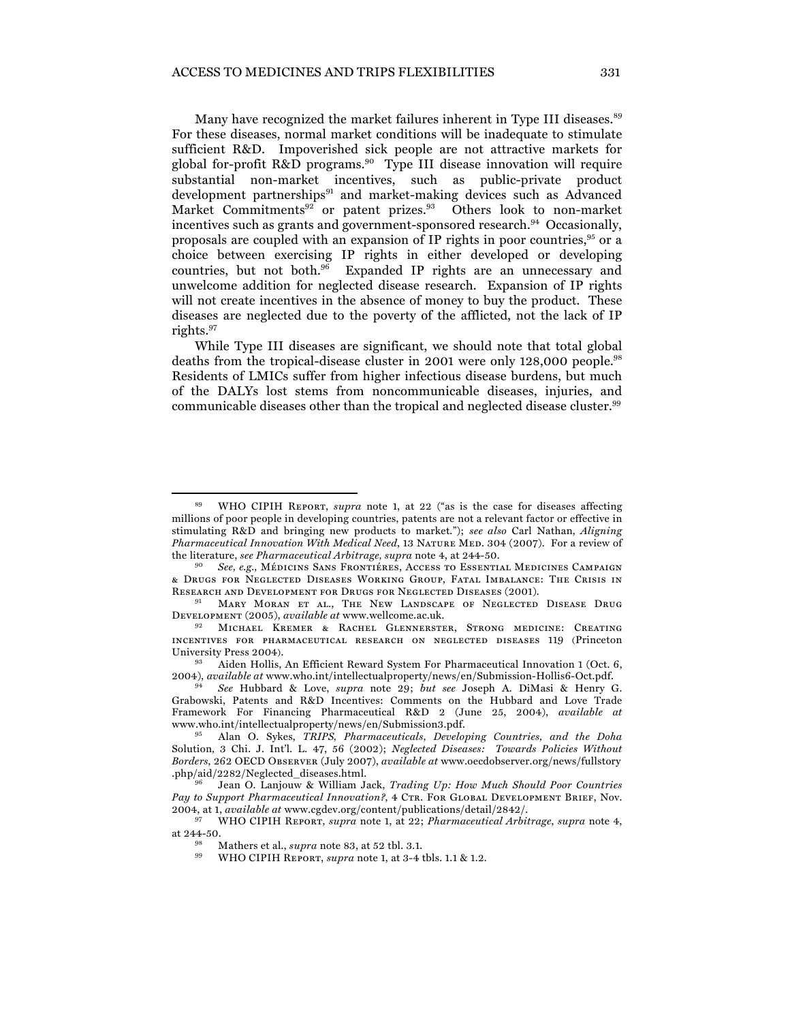Many have recognized the market failures inherent in Type III diseases.<sup>89</sup> For these diseases, normal market conditions will be inadequate to stimulate sufficient R&D. Impoverished sick people are not attractive markets for global for-profit R&D programs.<sup>90</sup> Type III disease innovation will require substantial non-market incentives, such as public-private product development partnerships<sup>91</sup> and market-making devices such as Advanced Market Commitments<sup>92</sup> or patent prizes.<sup>93</sup> Others look to non-market incentives such as grants and government-sponsored research.<sup>94</sup> Occasionally, proposals are coupled with an expansion of IP rights in poor countries,  $95$  or a choice between exercising IP rights in either developed or developing countries, but not both.<sup>96</sup> Expanded IP rights are an unnecessary and unwelcome addition for neglected disease research. Expansion of IP rights will not create incentives in the absence of money to buy the product. These diseases are neglected due to the poverty of the afflicted, not the lack of IP rights.<sup>97</sup>

While Type III diseases are significant, we should note that total global deaths from the tropical-disease cluster in 2001 were only 128,000 people.<sup>98</sup> Residents of LMICs suffer from higher infectious disease burdens, but much of the DALYs lost stems from noncommunicable diseases, injuries, and communicable diseases other than the tropical and neglected disease cluster.<sup>99</sup>

WHO CIPIH REPORT, supra note 1, at 22 ("as is the case for diseases affecting millions of poor people in developing countries, patents are not a relevant factor or effective in stimulating R&D and bringing new products to market."); see also Carl Nathan, Aligning Pharmaceutical Innovation With Medical Need, 13 NATURE MED. 304 (2007). For a review of the literature, see Pharmaceutical Arbitrage, supra note 4, at 244-50.

<sup>90</sup> See, e.g., Médicins Sans Frontiéres, Access to Essential Medicines Campaign & Drugs for Neglected Diseases Working Group, Fatal Imbalance: The Crisis in Research and Development for Drugs for Neglected Diseases (2001).

<sup>&</sup>lt;sup>91</sup> Mary Moran et al., The New Landscape of Neglected Disease Drug Development (2005), available at www.wellcome.ac.uk.

<sup>92</sup> Michael Kremer & Rachel Glennerster, Strong medicine: Creating incentives for pharmaceutical research on neglected diseases 119 (Princeton University Press 2004).

<sup>93</sup> Aiden Hollis, An Efficient Reward System For Pharmaceutical Innovation 1 (Oct. 6, 2004), available at www.who.int/intellectualproperty/news/en/Submission-Hollis6-Oct.pdf.

<sup>94</sup> See Hubbard & Love, supra note 29; but see Joseph A. DiMasi & Henry G. Grabowski, Patents and R&D Incentives: Comments on the Hubbard and Love Trade Framework For Financing Pharmaceutical R&D 2 (June 25, 2004), available at www.who.int/intellectualproperty/news/en/Submission3.pdf.

 $95$  Alan O. Sykes, TRIPS, Pharmaceuticals, Developing Countries, and the Doha Solution, 3 Chi. J. Int'l. L. 47, 56 (2002); Neglected Diseases: Towards Policies Without Borders, 262 OECD Observer (July 2007), available at www.oecdobserver.org/news/fullstory .php/aid/2282/Neglected\_diseases.html.

Jean O. Lanjouw & William Jack, Trading Up: How Much Should Poor Countries Pay to Support Pharmaceutical Innovation?, 4 CTR. FOR GLOBAL DEVELOPMENT BRIEF, Nov. 2004, at 1, available at www.cgdev.org/content/publications/detail/2842/.

<sup>&</sup>lt;sup>97</sup> WHO CIPIH REPORT, supra note 1, at 22; *Pharmaceutical Arbitrage*, supra note 4, at  $244-50$ .

Mathers et al., *supra* note 83, at 52 tbl. 3.1.

<sup>99</sup> WHO CIPIH Report, supra note 1, at 3-4 tbls. 1.1 & 1.2.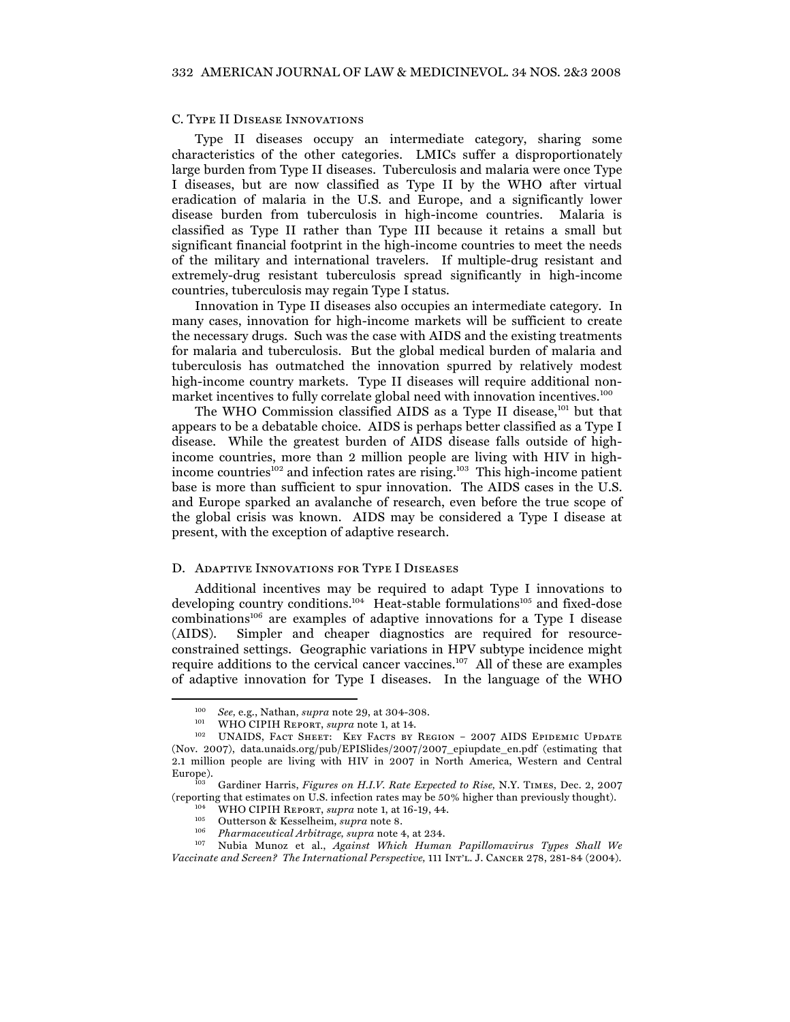#### C. Type II Disease Innovations

Type II diseases occupy an intermediate category, sharing some characteristics of the other categories. LMICs suffer a disproportionately large burden from Type II diseases. Tuberculosis and malaria were once Type I diseases, but are now classified as Type II by the WHO after virtual eradication of malaria in the U.S. and Europe, and a significantly lower disease burden from tuberculosis in high-income countries. Malaria is classified as Type II rather than Type III because it retains a small but significant financial footprint in the high-income countries to meet the needs of the military and international travelers. If multiple-drug resistant and extremely-drug resistant tuberculosis spread significantly in high-income countries, tuberculosis may regain Type I status.

Innovation in Type II diseases also occupies an intermediate category. In many cases, innovation for high-income markets will be sufficient to create the necessary drugs. Such was the case with AIDS and the existing treatments for malaria and tuberculosis. But the global medical burden of malaria and tuberculosis has outmatched the innovation spurred by relatively modest high-income country markets. Type II diseases will require additional nonmarket incentives to fully correlate global need with innovation incentives.<sup>100</sup>

The WHO Commission classified AIDS as a Type II disease,<sup>101</sup> but that appears to be a debatable choice. AIDS is perhaps better classified as a Type I disease. While the greatest burden of AIDS disease falls outside of highincome countries, more than 2 million people are living with HIV in highincome countries<sup>102</sup> and infection rates are rising.<sup>103</sup> This high-income patient base is more than sufficient to spur innovation. The AIDS cases in the U.S. and Europe sparked an avalanche of research, even before the true scope of the global crisis was known. AIDS may be considered a Type I disease at present, with the exception of adaptive research.

#### D. Adaptive Innovations for Type I Diseases

Additional incentives may be required to adapt Type I innovations to developing country conditions.<sup>104</sup> Heat-stable formulations<sup>105</sup> and fixed-dose combinations<sup>106</sup> are examples of adaptive innovations for a Type I disease (AIDS). Simpler and cheaper diagnostics are required for resourceconstrained settings. Geographic variations in HPV subtype incidence might require additions to the cervical cancer vaccines.<sup>107</sup> All of these are examples of adaptive innovation for Type I diseases. In the language of the WHO

<sup>100</sup> See, e.g., Nathan, supra note 29, at 304-308.

<sup>101</sup> <sup>101</sup> WHO CIPIH REPORT, *supra* note 1, at 14.<br><sup>102</sup> UNAIDS FACE SUFFT: KEY BACES BY

UNAIDS, FACT SHEET: KEY FACTS BY REGION - 2007 AIDS EPIDEMIC UPDATE (Nov. 2007), data.unaids.org/pub/EPISlides/2007/2007\_epiupdate\_en.pdf (estimating that 2.1 million people are living with HIV in 2007 in North America, Western and Central  $\text{Europe}$ ).

Gardiner Harris, Figures on H.I.V. Rate Expected to Rise, N.Y. TIMES, Dec. 2, 2007 (reporting that estimates on U.S. infection rates may be 50% higher than previously thought).

WHO CIPIH REPORT, supra note 1, at 16-19, 44.

 $^{105}$  Outterson & Kesselheim, supra note 8.

<sup>106</sup> <sup>106</sup> Pharmaceutical Arbitrage, supra note 4, at 234.<br><sup>107</sup> Nubis, Mungg et al. *Aggingt Which Human* 

<sup>107</sup> Nubia Munoz et al., Against Which Human Papillomavirus Types Shall We Vaccinate and Screen? The International Perspective, 111 Int'l. J. Cancer 278, 281-84 (2004).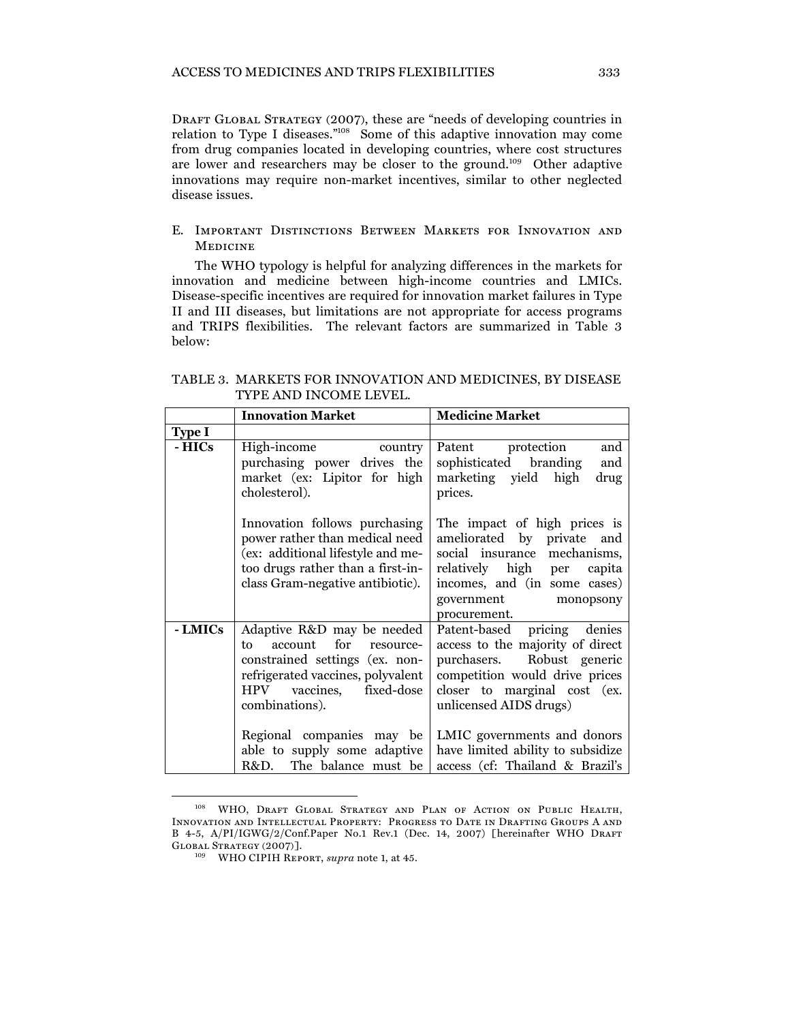DRAFT GLOBAL STRATEGY (2007), these are "needs of developing countries in relation to Type I diseases."<sup>108</sup> Some of this adaptive innovation may come from drug companies located in developing countries, where cost structures are lower and researchers may be closer to the ground.<sup>109</sup> Other adaptive innovations may require non-market incentives, similar to other neglected disease issues.

#### E. Important Distinctions Between Markets for Innovation and **MEDICINE**

The WHO typology is helpful for analyzing differences in the markets for innovation and medicine between high-income countries and LMICs. Disease-specific incentives are required for innovation market failures in Type II and III diseases, but limitations are not appropriate for access programs and TRIPS flexibilities. The relevant factors are summarized in Table 3 below:

|               | <b>Innovation Market</b>                                                                                                                                                                | <b>Medicine Market</b>                                                                                                                                                                                 |
|---------------|-----------------------------------------------------------------------------------------------------------------------------------------------------------------------------------------|--------------------------------------------------------------------------------------------------------------------------------------------------------------------------------------------------------|
| <b>Type I</b> |                                                                                                                                                                                         |                                                                                                                                                                                                        |
| - HICs        | High-income<br>country<br>purchasing power drives the<br>market (ex: Lipitor for high<br>cholesterol).                                                                                  | Patent<br>protection<br>and<br>sophisticated branding<br>and<br>marketing yield high<br>drug<br>prices.                                                                                                |
|               | Innovation follows purchasing<br>power rather than medical need<br>(ex: additional lifestyle and me-<br>too drugs rather than a first-in-<br>class Gram-negative antibiotic).           | The impact of high prices is<br>ameliorated by<br>private and<br>social insurance mechanisms,<br>relatively high per<br>capita<br>incomes, and (in some cases)<br>government monopsony<br>procurement. |
| - LMICs       | Adaptive R&D may be needed<br>for<br>account<br>resource-<br>to<br>constrained settings (ex. non-<br>refrigerated vaccines, polyvalent<br>HPV vaccines,<br>fixed-dose<br>combinations). | Patent-based pricing denies<br>access to the majority of direct<br>Robust generic<br>purchasers.<br>competition would drive prices<br>closer to marginal cost (ex.<br>unlicensed AIDS drugs)           |
|               | Regional companies may be<br>able to supply some adaptive<br>R&D. The balance must be                                                                                                   | LMIC governments and donors<br>have limited ability to subsidize<br>access (cf: Thailand & Brazil's                                                                                                    |

TABLE 3. MARKETS FOR INNOVATION AND MEDICINES, BY DISEASE TYPE AND INCOME LEVEL.

<sup>&</sup>lt;sup>108</sup> WHO, DRAFT GLOBAL STRATEGY AND PLAN OF ACTION ON PUBLIC HEALTH, Innovation and Intellectual Property: Progress to Date in Drafting Groups A and B 4-5, A/PI/IGWG/2/Conf.Paper No.1 Rev.1 (Dec. 14, 2007) [hereinafter WHO DRAFT Global Strategy (2007)].

<sup>&</sup>lt;sup>109</sup> WHO CIPIH REPORT, *supra* note 1, at 45.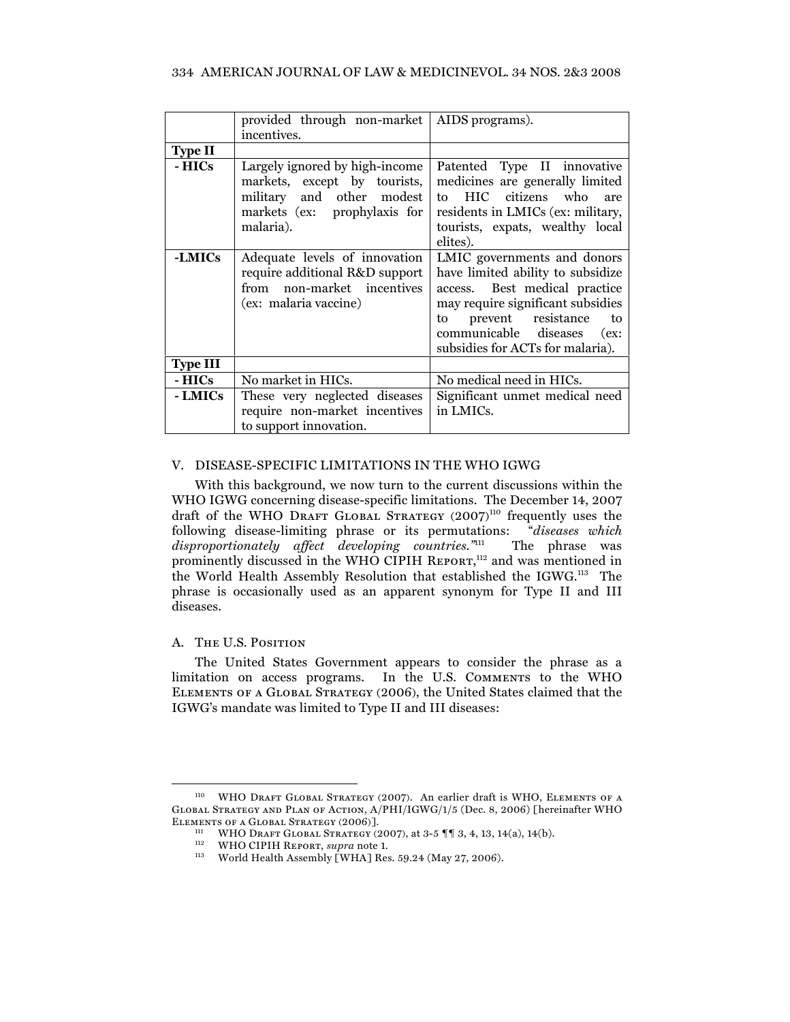|                 | provided through non-market   AIDS programs).                                                                                            |                                                                                                                                                                                                                                            |
|-----------------|------------------------------------------------------------------------------------------------------------------------------------------|--------------------------------------------------------------------------------------------------------------------------------------------------------------------------------------------------------------------------------------------|
|                 | incentives.                                                                                                                              |                                                                                                                                                                                                                                            |
| <b>Type II</b>  |                                                                                                                                          |                                                                                                                                                                                                                                            |
| - HICs          | Largely ignored by high-income<br>markets, except by tourists,<br>military and other modest<br>markets (ex: prophylaxis for<br>malaria). | Patented Type II innovative<br>medicines are generally limited<br>HIC citizens who<br>to<br>are<br>residents in LMICs (ex: military,<br>tourists, expats, wealthy local<br>elites).                                                        |
| -LMICs          | Adequate levels of innovation<br>require additional R&D support<br>from non-market incentives<br>(ex: malaria vaccine)                   | LMIC governments and donors<br>have limited ability to subsidize<br>access. Best medical practice<br>may require significant subsidies<br>prevent resistance<br>to<br>to<br>communicable diseases (ex:<br>subsidies for ACTs for malaria). |
| <b>Type III</b> |                                                                                                                                          |                                                                                                                                                                                                                                            |
| - HICs          | No market in HICs.                                                                                                                       | No medical need in HICs.                                                                                                                                                                                                                   |
| - LMICs         | These very neglected diseases                                                                                                            | Significant unmet medical need                                                                                                                                                                                                             |
|                 | require non-market incentives                                                                                                            | in LMICs.                                                                                                                                                                                                                                  |
|                 | to support innovation.                                                                                                                   |                                                                                                                                                                                                                                            |

#### V. DISEASE-SPECIFIC LIMITATIONS IN THE WHO IGWG

With this background, we now turn to the current discussions within the WHO IGWG concerning disease-specific limitations. The December 14, 2007 draft of the WHO DRAFT GLOBAL STRATEGY  $(2007)^{110}$  frequently uses the following disease-limiting phrase or its permutations: "diseases which disproportionately affect developing countries." The phrase was  $disproportionately$  affect developing countries." $111$ prominently discussed in the WHO CIPIH REPORT,<sup>112</sup> and was mentioned in the World Health Assembly Resolution that established the IGWG.<sup>113</sup> The phrase is occasionally used as an apparent synonym for Type II and III diseases.

#### A. THE U.S. POSITION

 $\overline{a}$ 

The United States Government appears to consider the phrase as a limitation on access programs. In the U.S. COMMENTS to the WHO Elements of a Global Strategy (2006), the United States claimed that the IGWG's mandate was limited to Type II and III diseases:

<sup>110</sup> WHO Draft Global Strategy (2007). An earlier draft is WHO, Elements of a Global Strategy and Plan of Action, A/PHI/IGWG/1/5 (Dec. 8, 2006) [hereinafter WHO ELEMENTS OF A GLOBAL STRATEGY (2006)].

<sup>&</sup>lt;sup>111</sup> WHO DRAFT GLOBAL STRATEGY (2007), at 3-5 ¶¶ 3, 4, 13, 14(a), 14(b).<br><sup>112</sup> WHO CIPIH REPORT, *supra* note 1.

<sup>&</sup>lt;sup>113</sup> World Health Assembly [WHA] Res. 59.24 (May 27, 2006).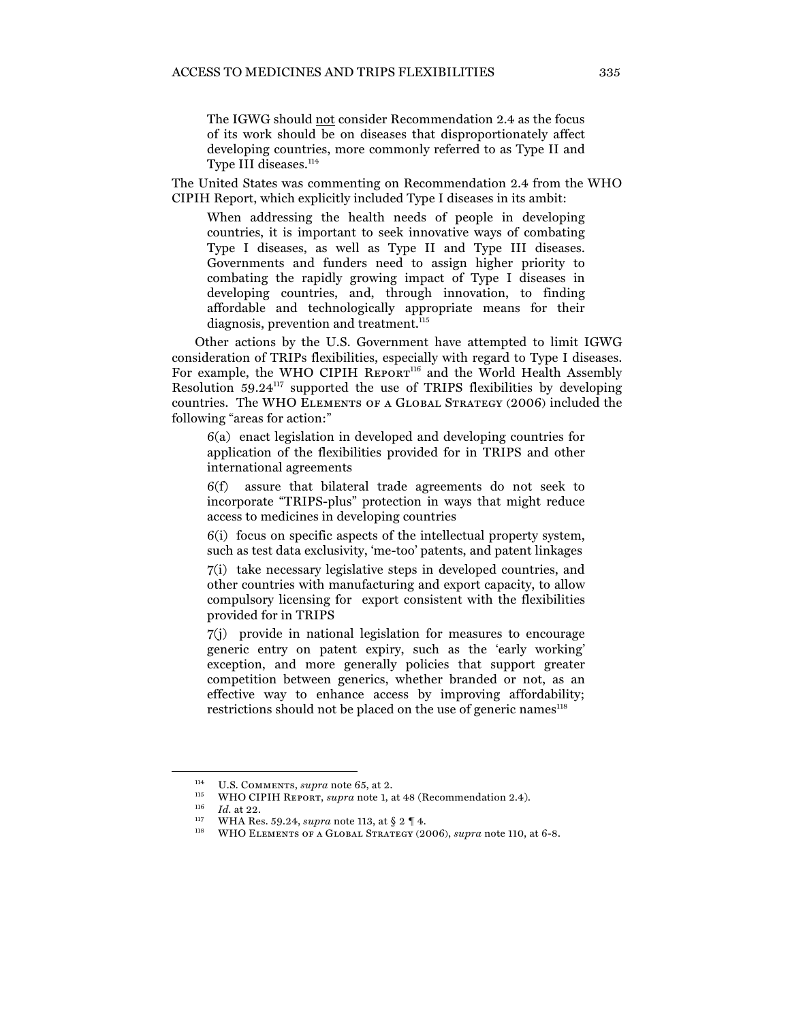The IGWG should not consider Recommendation 2.4 as the focus of its work should be on diseases that disproportionately affect developing countries, more commonly referred to as Type II and Type III diseases.<sup>114</sup>

The United States was commenting on Recommendation 2.4 from the WHO CIPIH Report, which explicitly included Type I diseases in its ambit:

When addressing the health needs of people in developing countries, it is important to seek innovative ways of combating Type I diseases, as well as Type II and Type III diseases. Governments and funders need to assign higher priority to combating the rapidly growing impact of Type I diseases in developing countries, and, through innovation, to finding affordable and technologically appropriate means for their diagnosis, prevention and treatment.<sup>115</sup>

Other actions by the U.S. Government have attempted to limit IGWG consideration of TRIPs flexibilities, especially with regard to Type I diseases. For example, the WHO CIPIH REPORT<sup>116</sup> and the World Health Assembly Resolution  $59.24^{\text{117}}$  supported the use of TRIPS flexibilities by developing countries. The WHO Elements of a Global Strategy (2006) included the following "areas for action:"

6(a) enact legislation in developed and developing countries for application of the flexibilities provided for in TRIPS and other international agreements

6(f) assure that bilateral trade agreements do not seek to incorporate "TRIPS-plus" protection in ways that might reduce access to medicines in developing countries

6(i) focus on specific aspects of the intellectual property system, such as test data exclusivity, 'me-too' patents, and patent linkages

7(i) take necessary legislative steps in developed countries, and other countries with manufacturing and export capacity, to allow compulsory licensing for export consistent with the flexibilities provided for in TRIPS

7(j) provide in national legislation for measures to encourage generic entry on patent expiry, such as the 'early working' exception, and more generally policies that support greater competition between generics, whether branded or not, as an effective way to enhance access by improving affordability; restrictions should not be placed on the use of generic names<sup>118</sup>

l

<sup>114</sup> U.S. COMMENTS, supra note 65, at 2.

<sup>115</sup> WHO CIPIH REPORT, supra note 1, at 48 (Recommendation 2.4).

<sup>116</sup>  $\frac{116}{117}$  *Id.* at 22.

WHA Res. 59.24, supra note 113, at  $\S 2 \nparallel 4$ .

<sup>118</sup> WHO ELEMENTS OF A GLOBAL STRATEGY (2006), supra note 110, at 6-8.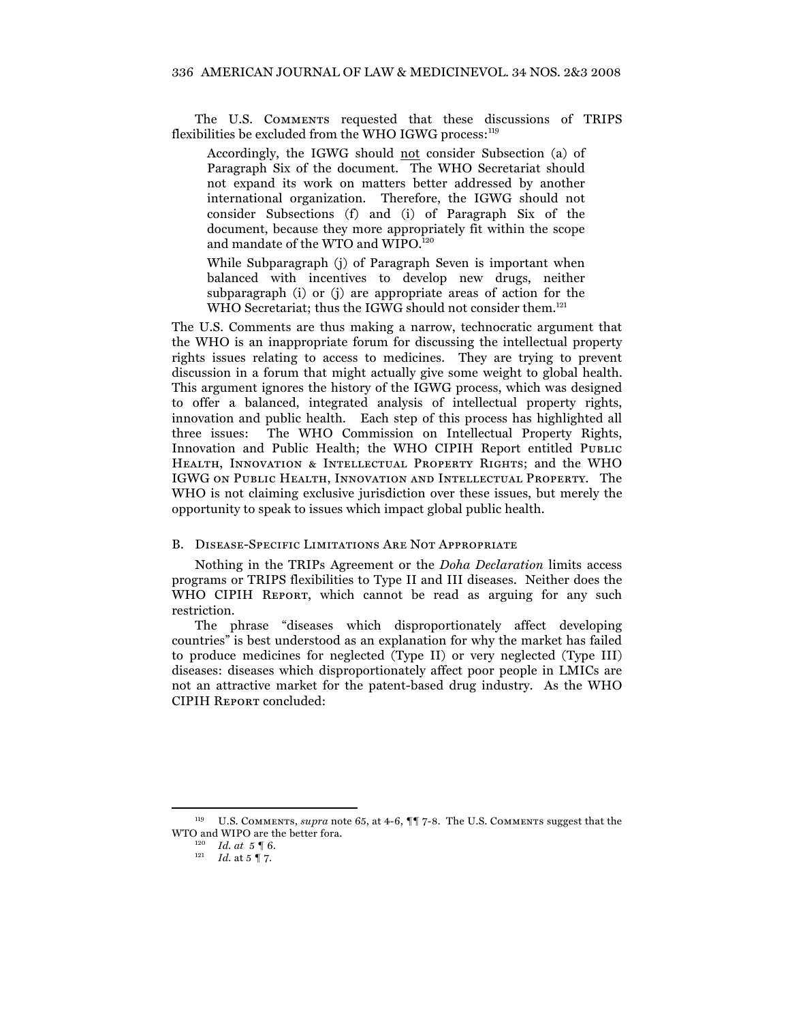The U.S. Comments requested that these discussions of TRIPS flexibilities be excluded from the WHO IGWG process:<sup>119</sup>

Accordingly, the IGWG should not consider Subsection (a) of Paragraph Six of the document. The WHO Secretariat should not expand its work on matters better addressed by another international organization. Therefore, the IGWG should not consider Subsections (f) and (i) of Paragraph Six of the document, because they more appropriately fit within the scope and mandate of the WTO and WIPO.<sup>120</sup>

While Subparagraph (j) of Paragraph Seven is important when balanced with incentives to develop new drugs, neither subparagraph (i) or (j) are appropriate areas of action for the WHO Secretariat; thus the IGWG should not consider them.<sup>121</sup>

The U.S. Comments are thus making a narrow, technocratic argument that the WHO is an inappropriate forum for discussing the intellectual property rights issues relating to access to medicines. They are trying to prevent discussion in a forum that might actually give some weight to global health. This argument ignores the history of the IGWG process, which was designed to offer a balanced, integrated analysis of intellectual property rights, innovation and public health. Each step of this process has highlighted all three issues: The WHO Commission on Intellectual Property Rights, Innovation and Public Health; the WHO CIPIH Report entitled Public Health, Innovation & Intellectual Property Rights; and the WHO IGWG on Public Health, Innovation and Intellectual Property. The WHO is not claiming exclusive jurisdiction over these issues, but merely the opportunity to speak to issues which impact global public health.

#### B. Disease-Specific Limitations Are Not Appropriate

Nothing in the TRIPs Agreement or the Doha Declaration limits access programs or TRIPS flexibilities to Type II and III diseases. Neither does the WHO CIPIH REPORT, which cannot be read as arguing for any such restriction.

The phrase "diseases which disproportionately affect developing countries" is best understood as an explanation for why the market has failed to produce medicines for neglected (Type II) or very neglected (Type III) diseases: diseases which disproportionately affect poor people in LMICs are not an attractive market for the patent-based drug industry. As the WHO CIPIH Report concluded:

<sup>&</sup>lt;sup>119</sup> U.S. COMMENTS, supra note 65, at 4-6,  $\P$  $7-8$ . The U.S. COMMENTS suggest that the WTO and WIPO are the better fora.

 $120$  *Id. at* 5 | 6.

 $121$  *Id.* at 5 | 7.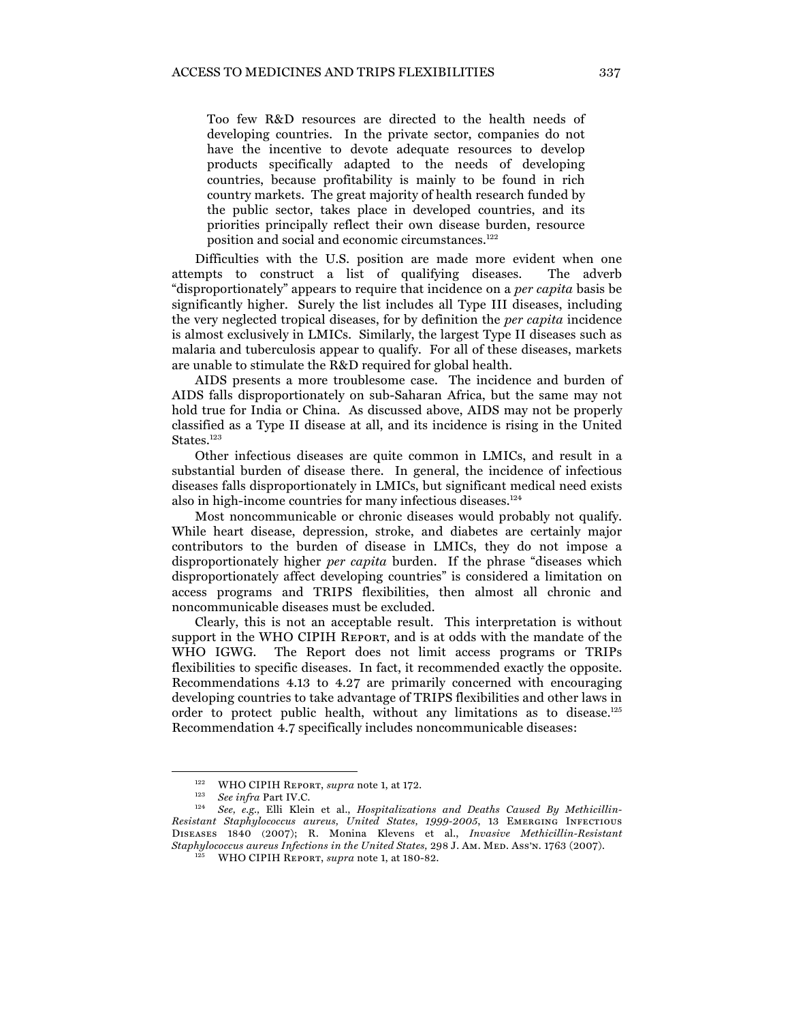Too few R&D resources are directed to the health needs of developing countries. In the private sector, companies do not have the incentive to devote adequate resources to develop products specifically adapted to the needs of developing countries, because profitability is mainly to be found in rich country markets. The great majority of health research funded by the public sector, takes place in developed countries, and its priorities principally reflect their own disease burden, resource position and social and economic circumstances.<sup>122</sup>

Difficulties with the U.S. position are made more evident when one attempts to construct a list of qualifying diseases. The adverb "disproportionately" appears to require that incidence on a per capita basis be significantly higher. Surely the list includes all Type III diseases, including the very neglected tropical diseases, for by definition the *per capita* incidence is almost exclusively in LMICs. Similarly, the largest Type II diseases such as malaria and tuberculosis appear to qualify. For all of these diseases, markets are unable to stimulate the R&D required for global health.

AIDS presents a more troublesome case. The incidence and burden of AIDS falls disproportionately on sub-Saharan Africa, but the same may not hold true for India or China. As discussed above, AIDS may not be properly classified as a Type II disease at all, and its incidence is rising in the United States.<sup>123</sup>

Other infectious diseases are quite common in LMICs, and result in a substantial burden of disease there. In general, the incidence of infectious diseases falls disproportionately in LMICs, but significant medical need exists also in high-income countries for many infectious diseases.<sup>124</sup>

Most noncommunicable or chronic diseases would probably not qualify. While heart disease, depression, stroke, and diabetes are certainly major contributors to the burden of disease in LMICs, they do not impose a disproportionately higher *per capita* burden. If the phrase "diseases which disproportionately affect developing countries" is considered a limitation on access programs and TRIPS flexibilities, then almost all chronic and noncommunicable diseases must be excluded.

Clearly, this is not an acceptable result. This interpretation is without support in the WHO CIPIH Report, and is at odds with the mandate of the WHO IGWG. The Report does not limit access programs or TRIPs flexibilities to specific diseases. In fact, it recommended exactly the opposite. Recommendations 4.13 to 4.27 are primarily concerned with encouraging developing countries to take advantage of TRIPS flexibilities and other laws in order to protect public health, without any limitations as to disease.<sup>125</sup> Recommendation 4.7 specifically includes noncommunicable diseases:

l

<sup>122</sup> WHO CIPIH Report, supra note 1, at 172.

<sup>123</sup> See infra Part IV.C.

 $124$  See, e.g., Elli Klein et al., Hospitalizations and Deaths Caused By Methicillin-Resistant Staphylococcus aureus, United States, 1999-2005, 13 Emerging Infectious Diseases 1840 (2007); R. Monina Klevens et al., Invasive Methicillin-Resistant Staphylococcus aureus Infections in the United States, 298 J. Am. MED. Ass'n. 1763 (2007).

<sup>&</sup>lt;sup>125</sup> WHO CIPIH REPORT, supra note 1, at 180-82.